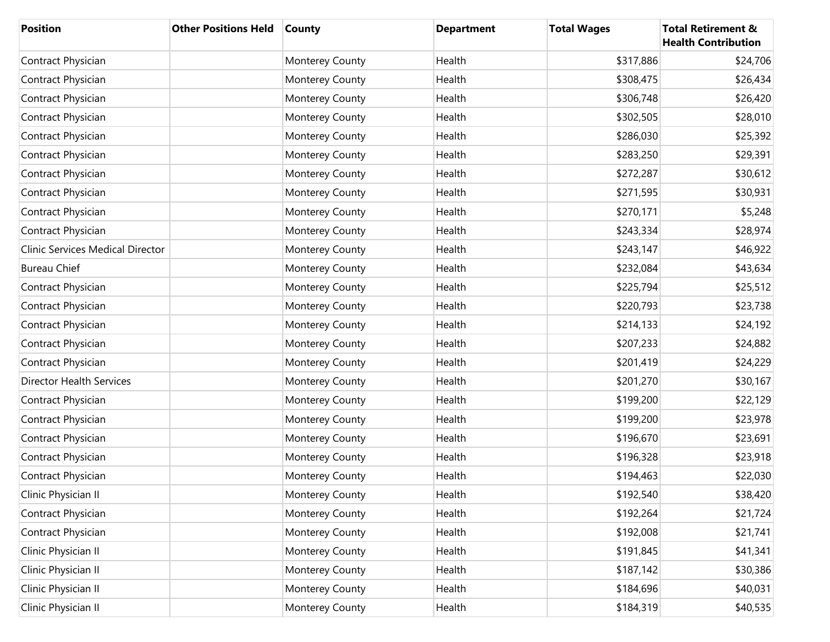| <b>Position</b>                  | <b>Other Positions Held</b> | <b>County</b>   | <b>Department</b> | <b>Total Wages</b> | <b>Total Retirement &amp;</b><br><b>Health Contribution</b> |
|----------------------------------|-----------------------------|-----------------|-------------------|--------------------|-------------------------------------------------------------|
| Contract Physician               |                             | Monterey County | Health            | \$317,886          | \$24,706                                                    |
| Contract Physician               |                             | Monterey County | Health            | \$308,475          | \$26,434                                                    |
| Contract Physician               |                             | Monterey County | Health            | \$306,748          | \$26,420                                                    |
| Contract Physician               |                             | Monterey County | Health            | \$302,505          | \$28,010                                                    |
| Contract Physician               |                             | Monterey County | Health            | \$286,030          | \$25,392                                                    |
| Contract Physician               |                             | Monterey County | Health            | \$283,250          | \$29,391                                                    |
| Contract Physician               |                             | Monterey County | Health            | \$272,287          | \$30,612                                                    |
| Contract Physician               |                             | Monterey County | Health            | \$271,595          | \$30,931                                                    |
| Contract Physician               |                             | Monterey County | Health            | \$270,171          | \$5,248                                                     |
| Contract Physician               |                             | Monterey County | Health            | \$243,334          | \$28,974                                                    |
| Clinic Services Medical Director |                             | Monterey County | Health            | \$243,147          | \$46,922                                                    |
| <b>Bureau Chief</b>              |                             | Monterey County | Health            | \$232,084          | \$43,634                                                    |
| Contract Physician               |                             | Monterey County | Health            | \$225,794          | \$25,512                                                    |
| Contract Physician               |                             | Monterey County | Health            | \$220,793          | \$23,738                                                    |
| Contract Physician               |                             | Monterey County | Health            | \$214,133          | \$24,192                                                    |
| Contract Physician               |                             | Monterey County | Health            | \$207,233          | \$24,882                                                    |
| Contract Physician               |                             | Monterey County | Health            | \$201,419          | \$24,229                                                    |
| <b>Director Health Services</b>  |                             | Monterey County | Health            | \$201,270          | \$30,167                                                    |
| Contract Physician               |                             | Monterey County | Health            | \$199,200          | \$22,129                                                    |
| Contract Physician               |                             | Monterey County | Health            | \$199,200          | \$23,978                                                    |
| Contract Physician               |                             | Monterey County | Health            | \$196,670          | \$23,691                                                    |
| Contract Physician               |                             | Monterey County | Health            | \$196,328          | \$23,918                                                    |
| Contract Physician               |                             | Monterey County | Health            | \$194,463          | \$22,030                                                    |
| Clinic Physician II              |                             | Monterey County | Health            | \$192,540          | \$38,420                                                    |
| Contract Physician               |                             | Monterey County | Health            | \$192,264          | \$21,724                                                    |
| Contract Physician               |                             | Monterey County | Health            | \$192,008          | \$21,741                                                    |
| Clinic Physician II              |                             | Monterey County | Health            | \$191,845          | \$41,341                                                    |
| Clinic Physician II              |                             | Monterey County | Health            | \$187,142          | \$30,386                                                    |
| Clinic Physician II              |                             | Monterey County | Health            | \$184,696          | \$40,031                                                    |
| Clinic Physician II              |                             | Monterey County | Health            | \$184,319          | \$40,535                                                    |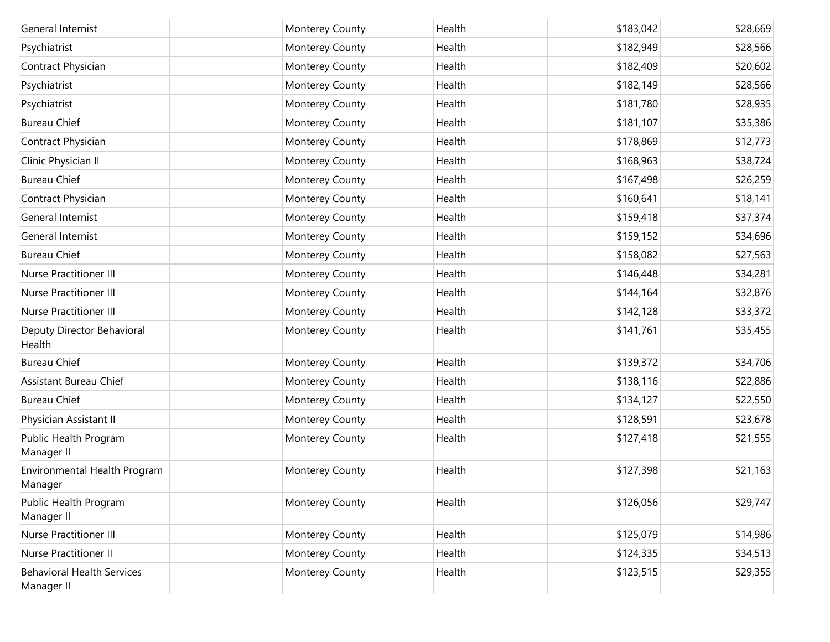| General Internist                               | Monterey County | Health | \$183,042 | \$28,669 |
|-------------------------------------------------|-----------------|--------|-----------|----------|
| Psychiatrist                                    | Monterey County | Health | \$182,949 | \$28,566 |
| Contract Physician                              | Monterey County | Health | \$182,409 | \$20,602 |
| Psychiatrist                                    | Monterey County | Health | \$182,149 | \$28,566 |
| Psychiatrist                                    | Monterey County | Health | \$181,780 | \$28,935 |
| <b>Bureau Chief</b>                             | Monterey County | Health | \$181,107 | \$35,386 |
| Contract Physician                              | Monterey County | Health | \$178,869 | \$12,773 |
| Clinic Physician II                             | Monterey County | Health | \$168,963 | \$38,724 |
| <b>Bureau Chief</b>                             | Monterey County | Health | \$167,498 | \$26,259 |
| Contract Physician                              | Monterey County | Health | \$160,641 | \$18,141 |
| General Internist                               | Monterey County | Health | \$159,418 | \$37,374 |
| General Internist                               | Monterey County | Health | \$159,152 | \$34,696 |
| <b>Bureau Chief</b>                             | Monterey County | Health | \$158,082 | \$27,563 |
| <b>Nurse Practitioner III</b>                   | Monterey County | Health | \$146,448 | \$34,281 |
| <b>Nurse Practitioner III</b>                   | Monterey County | Health | \$144,164 | \$32,876 |
| <b>Nurse Practitioner III</b>                   | Monterey County | Health | \$142,128 | \$33,372 |
| Deputy Director Behavioral<br>Health            | Monterey County | Health | \$141,761 | \$35,455 |
| <b>Bureau Chief</b>                             | Monterey County | Health | \$139,372 | \$34,706 |
| Assistant Bureau Chief                          | Monterey County | Health | \$138,116 | \$22,886 |
| <b>Bureau Chief</b>                             | Monterey County | Health | \$134,127 | \$22,550 |
| Physician Assistant II                          | Monterey County | Health | \$128,591 | \$23,678 |
| Public Health Program<br>Manager II             | Monterey County | Health | \$127,418 | \$21,555 |
| Environmental Health Program<br>Manager         | Monterey County | Health | \$127,398 | \$21,163 |
| Public Health Program<br>Manager II             | Monterey County | Health | \$126,056 | \$29,747 |
| <b>Nurse Practitioner III</b>                   | Monterey County | Health | \$125,079 | \$14,986 |
| <b>Nurse Practitioner II</b>                    | Monterey County | Health | \$124,335 | \$34,513 |
| <b>Behavioral Health Services</b><br>Manager II | Monterey County | Health | \$123,515 | \$29,355 |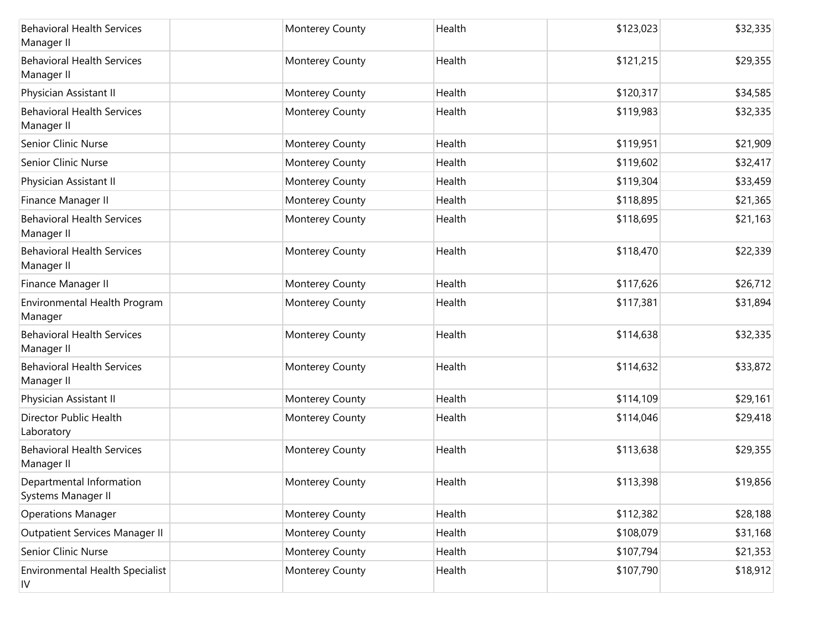| <b>Behavioral Health Services</b><br>Manager II  | Monterey County | Health | \$123,023 | \$32,335 |
|--------------------------------------------------|-----------------|--------|-----------|----------|
| <b>Behavioral Health Services</b><br>Manager II  | Monterey County | Health | \$121,215 | \$29,355 |
| Physician Assistant II                           | Monterey County | Health | \$120,317 | \$34,585 |
| <b>Behavioral Health Services</b><br>Manager II  | Monterey County | Health | \$119,983 | \$32,335 |
| Senior Clinic Nurse                              | Monterey County | Health | \$119,951 | \$21,909 |
| Senior Clinic Nurse                              | Monterey County | Health | \$119,602 | \$32,417 |
| Physician Assistant II                           | Monterey County | Health | \$119,304 | \$33,459 |
| Finance Manager II                               | Monterey County | Health | \$118,895 | \$21,365 |
| <b>Behavioral Health Services</b><br>Manager II  | Monterey County | Health | \$118,695 | \$21,163 |
| <b>Behavioral Health Services</b><br>Manager II  | Monterey County | Health | \$118,470 | \$22,339 |
| Finance Manager II                               | Monterey County | Health | \$117,626 | \$26,712 |
| Environmental Health Program<br>Manager          | Monterey County | Health | \$117,381 | \$31,894 |
| <b>Behavioral Health Services</b><br>Manager II  | Monterey County | Health | \$114,638 | \$32,335 |
| <b>Behavioral Health Services</b><br>Manager II  | Monterey County | Health | \$114,632 | \$33,872 |
| Physician Assistant II                           | Monterey County | Health | \$114,109 | \$29,161 |
| Director Public Health<br>Laboratory             | Monterey County | Health | \$114,046 | \$29,418 |
| <b>Behavioral Health Services</b><br>Manager II  | Monterey County | Health | \$113,638 | \$29,355 |
| Departmental Information<br>Systems Manager II   | Monterey County | Health | \$113,398 | \$19,856 |
| <b>Operations Manager</b>                        | Monterey County | Health | \$112,382 | \$28,188 |
| Outpatient Services Manager II                   | Monterey County | Health | \$108,079 | \$31,168 |
| Senior Clinic Nurse                              | Monterey County | Health | \$107,794 | \$21,353 |
| Environmental Health Specialist<br>$\mathsf{IV}$ | Monterey County | Health | \$107,790 | \$18,912 |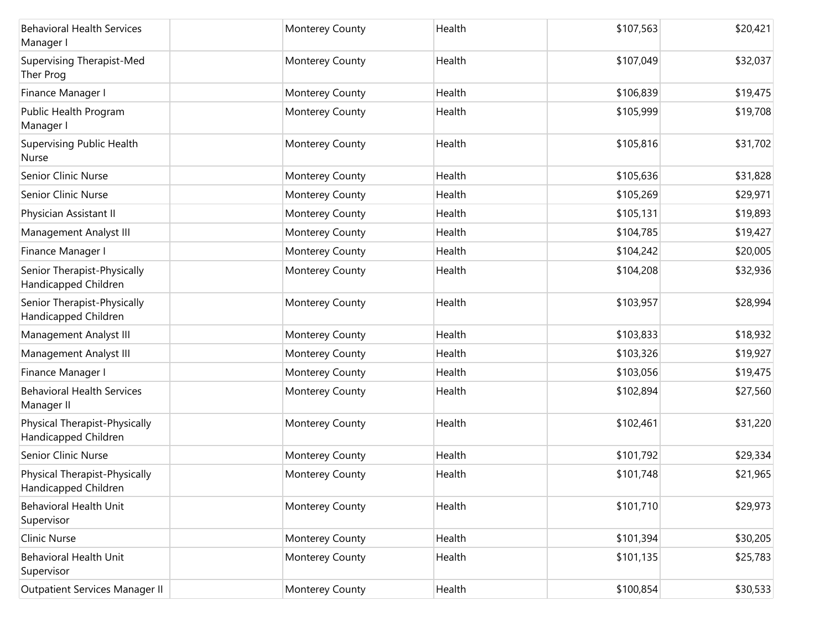| <b>Behavioral Health Services</b><br>Manager I        | Monterey County | Health | \$107,563 | \$20,421 |
|-------------------------------------------------------|-----------------|--------|-----------|----------|
| Supervising Therapist-Med<br>Ther Prog                | Monterey County | Health | \$107,049 | \$32,037 |
| Finance Manager I                                     | Monterey County | Health | \$106,839 | \$19,475 |
| Public Health Program<br>Manager I                    | Monterey County | Health | \$105,999 | \$19,708 |
| <b>Supervising Public Health</b><br>Nurse             | Monterey County | Health | \$105,816 | \$31,702 |
| Senior Clinic Nurse                                   | Monterey County | Health | \$105,636 | \$31,828 |
| <b>Senior Clinic Nurse</b>                            | Monterey County | Health | \$105,269 | \$29,971 |
| Physician Assistant II                                | Monterey County | Health | \$105,131 | \$19,893 |
| Management Analyst III                                | Monterey County | Health | \$104,785 | \$19,427 |
| Finance Manager I                                     | Monterey County | Health | \$104,242 | \$20,005 |
| Senior Therapist-Physically<br>Handicapped Children   | Monterey County | Health | \$104,208 | \$32,936 |
| Senior Therapist-Physically<br>Handicapped Children   | Monterey County | Health | \$103,957 | \$28,994 |
| Management Analyst III                                | Monterey County | Health | \$103,833 | \$18,932 |
| Management Analyst III                                | Monterey County | Health | \$103,326 | \$19,927 |
| Finance Manager I                                     | Monterey County | Health | \$103,056 | \$19,475 |
| <b>Behavioral Health Services</b><br>Manager II       | Monterey County | Health | \$102,894 | \$27,560 |
| Physical Therapist-Physically<br>Handicapped Children | Monterey County | Health | \$102,461 | \$31,220 |
| Senior Clinic Nurse                                   | Monterey County | Health | \$101,792 | \$29,334 |
| Physical Therapist-Physically<br>Handicapped Children | Monterey County | Health | \$101,748 | \$21,965 |
| <b>Behavioral Health Unit</b><br>Supervisor           | Monterey County | Health | \$101,710 | \$29,973 |
| Clinic Nurse                                          | Monterey County | Health | \$101,394 | \$30,205 |
| Behavioral Health Unit<br>Supervisor                  | Monterey County | Health | \$101,135 | \$25,783 |
| Outpatient Services Manager II                        | Monterey County | Health | \$100,854 | \$30,533 |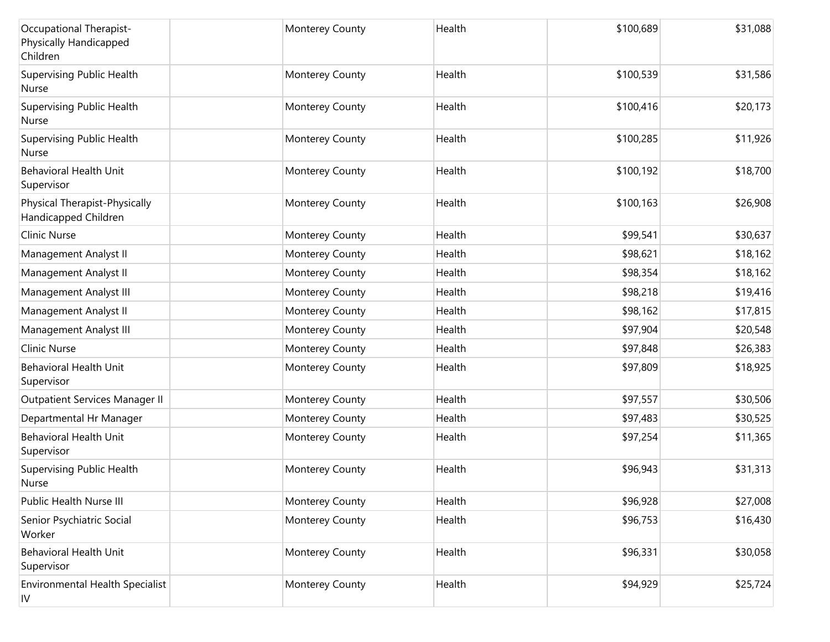| Occupational Therapist-<br>Physically Handicapped<br>Children | Monterey County | Health | \$100,689 | \$31,088 |
|---------------------------------------------------------------|-----------------|--------|-----------|----------|
| <b>Supervising Public Health</b><br>Nurse                     | Monterey County | Health | \$100,539 | \$31,586 |
| Supervising Public Health<br>Nurse                            | Monterey County | Health | \$100,416 | \$20,173 |
| <b>Supervising Public Health</b><br>Nurse                     | Monterey County | Health | \$100,285 | \$11,926 |
| <b>Behavioral Health Unit</b><br>Supervisor                   | Monterey County | Health | \$100,192 | \$18,700 |
| Physical Therapist-Physically<br>Handicapped Children         | Monterey County | Health | \$100,163 | \$26,908 |
| <b>Clinic Nurse</b>                                           | Monterey County | Health | \$99,541  | \$30,637 |
| Management Analyst II                                         | Monterey County | Health | \$98,621  | \$18,162 |
| Management Analyst II                                         | Monterey County | Health | \$98,354  | \$18,162 |
| Management Analyst III                                        | Monterey County | Health | \$98,218  | \$19,416 |
| Management Analyst II                                         | Monterey County | Health | \$98,162  | \$17,815 |
| Management Analyst III                                        | Monterey County | Health | \$97,904  | \$20,548 |
| <b>Clinic Nurse</b>                                           | Monterey County | Health | \$97,848  | \$26,383 |
| <b>Behavioral Health Unit</b><br>Supervisor                   | Monterey County | Health | \$97,809  | \$18,925 |
| Outpatient Services Manager II                                | Monterey County | Health | \$97,557  | \$30,506 |
| Departmental Hr Manager                                       | Monterey County | Health | \$97,483  | \$30,525 |
| <b>Behavioral Health Unit</b><br>Supervisor                   | Monterey County | Health | \$97,254  | \$11,365 |
| <b>Supervising Public Health</b><br>Nurse                     | Monterey County | Health | \$96,943  | \$31,313 |
| Public Health Nurse III                                       | Monterey County | Health | \$96,928  | \$27,008 |
| Senior Psychiatric Social<br>Worker                           | Monterey County | Health | \$96,753  | \$16,430 |
| <b>Behavioral Health Unit</b><br>Supervisor                   | Monterey County | Health | \$96,331  | \$30,058 |
| Environmental Health Specialist<br>IV                         | Monterey County | Health | \$94,929  | \$25,724 |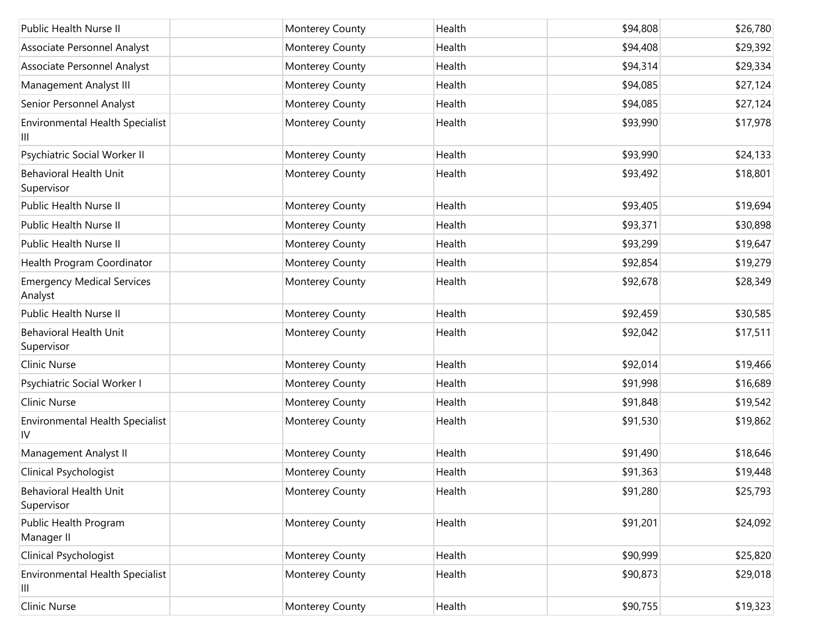| Public Health Nurse II                       | Monterey County | Health | \$94,808 | \$26,780 |
|----------------------------------------------|-----------------|--------|----------|----------|
| Associate Personnel Analyst                  | Monterey County | Health | \$94,408 | \$29,392 |
| Associate Personnel Analyst                  | Monterey County | Health | \$94,314 | \$29,334 |
| Management Analyst III                       | Monterey County | Health | \$94,085 | \$27,124 |
| Senior Personnel Analyst                     | Monterey County | Health | \$94,085 | \$27,124 |
| Environmental Health Specialist<br>Ш         | Monterey County | Health | \$93,990 | \$17,978 |
| Psychiatric Social Worker II                 | Monterey County | Health | \$93,990 | \$24,133 |
| <b>Behavioral Health Unit</b><br>Supervisor  | Monterey County | Health | \$93,492 | \$18,801 |
| Public Health Nurse II                       | Monterey County | Health | \$93,405 | \$19,694 |
| Public Health Nurse II                       | Monterey County | Health | \$93,371 | \$30,898 |
| Public Health Nurse II                       | Monterey County | Health | \$93,299 | \$19,647 |
| Health Program Coordinator                   | Monterey County | Health | \$92,854 | \$19,279 |
| <b>Emergency Medical Services</b><br>Analyst | Monterey County | Health | \$92,678 | \$28,349 |
| Public Health Nurse II                       | Monterey County | Health | \$92,459 | \$30,585 |
| <b>Behavioral Health Unit</b><br>Supervisor  | Monterey County | Health | \$92,042 | \$17,511 |
| Clinic Nurse                                 | Monterey County | Health | \$92,014 | \$19,466 |
| Psychiatric Social Worker I                  | Monterey County | Health | \$91,998 | \$16,689 |
| <b>Clinic Nurse</b>                          | Monterey County | Health | \$91,848 | \$19,542 |
| Environmental Health Specialist<br>1V        | Monterey County | Health | \$91,530 | \$19,862 |
| Management Analyst II                        | Monterey County | Health | \$91,490 | \$18,646 |
| Clinical Psychologist                        | Monterey County | Health | \$91,363 | \$19,448 |
| <b>Behavioral Health Unit</b><br>Supervisor  | Monterey County | Health | \$91,280 | \$25,793 |
| Public Health Program<br>Manager II          | Monterey County | Health | \$91,201 | \$24,092 |
| Clinical Psychologist                        | Monterey County | Health | \$90,999 | \$25,820 |
| <b>Environmental Health Specialist</b><br>Ш  | Monterey County | Health | \$90,873 | \$29,018 |
| Clinic Nurse                                 | Monterey County | Health | \$90,755 | \$19,323 |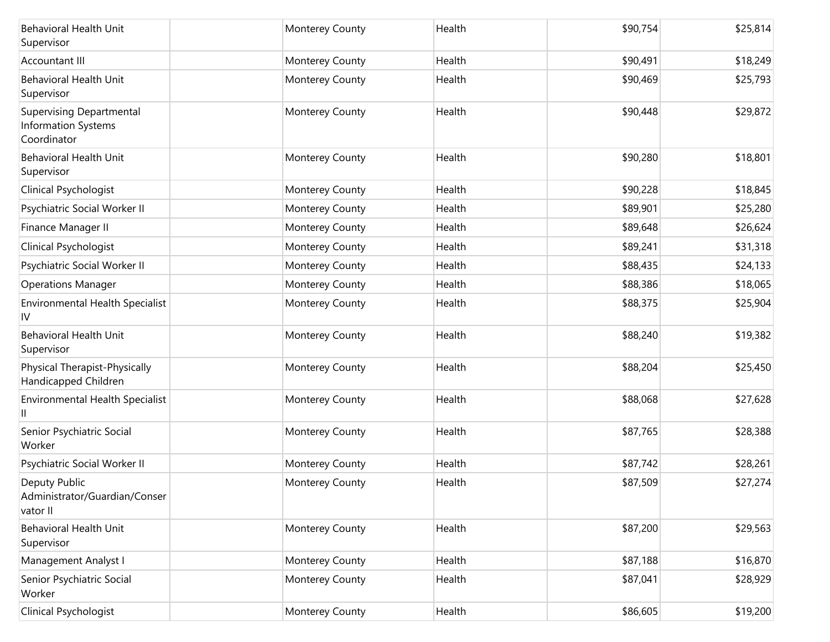| <b>Behavioral Health Unit</b><br>Supervisor                                  | Monterey County | Health | \$90,754 | \$25,814 |
|------------------------------------------------------------------------------|-----------------|--------|----------|----------|
| Accountant III                                                               | Monterey County | Health | \$90,491 | \$18,249 |
| <b>Behavioral Health Unit</b><br>Supervisor                                  | Monterey County | Health | \$90,469 | \$25,793 |
| <b>Supervising Departmental</b><br><b>Information Systems</b><br>Coordinator | Monterey County | Health | \$90,448 | \$29,872 |
| <b>Behavioral Health Unit</b><br>Supervisor                                  | Monterey County | Health | \$90,280 | \$18,801 |
| Clinical Psychologist                                                        | Monterey County | Health | \$90,228 | \$18,845 |
| Psychiatric Social Worker II                                                 | Monterey County | Health | \$89,901 | \$25,280 |
| Finance Manager II                                                           | Monterey County | Health | \$89,648 | \$26,624 |
| Clinical Psychologist                                                        | Monterey County | Health | \$89,241 | \$31,318 |
| Psychiatric Social Worker II                                                 | Monterey County | Health | \$88,435 | \$24,133 |
| <b>Operations Manager</b>                                                    | Monterey County | Health | \$88,386 | \$18,065 |
| Environmental Health Specialist<br>IV                                        | Monterey County | Health | \$88,375 | \$25,904 |
| <b>Behavioral Health Unit</b><br>Supervisor                                  | Monterey County | Health | \$88,240 | \$19,382 |
| Physical Therapist-Physically<br>Handicapped Children                        | Monterey County | Health | \$88,204 | \$25,450 |
| Environmental Health Specialist                                              | Monterey County | Health | \$88,068 | \$27,628 |
| Senior Psychiatric Social<br>Worker                                          | Monterey County | Health | \$87,765 | \$28,388 |
| Psychiatric Social Worker II                                                 | Monterey County | Health | \$87,742 | \$28,261 |
| Deputy Public<br>Administrator/Guardian/Conser<br>vator II                   | Monterey County | Health | \$87,509 | \$27,274 |
| <b>Behavioral Health Unit</b><br>Supervisor                                  | Monterey County | Health | \$87,200 | \$29,563 |
| Management Analyst I                                                         | Monterey County | Health | \$87,188 | \$16,870 |
| Senior Psychiatric Social<br>Worker                                          | Monterey County | Health | \$87,041 | \$28,929 |
| Clinical Psychologist                                                        | Monterey County | Health | \$86,605 | \$19,200 |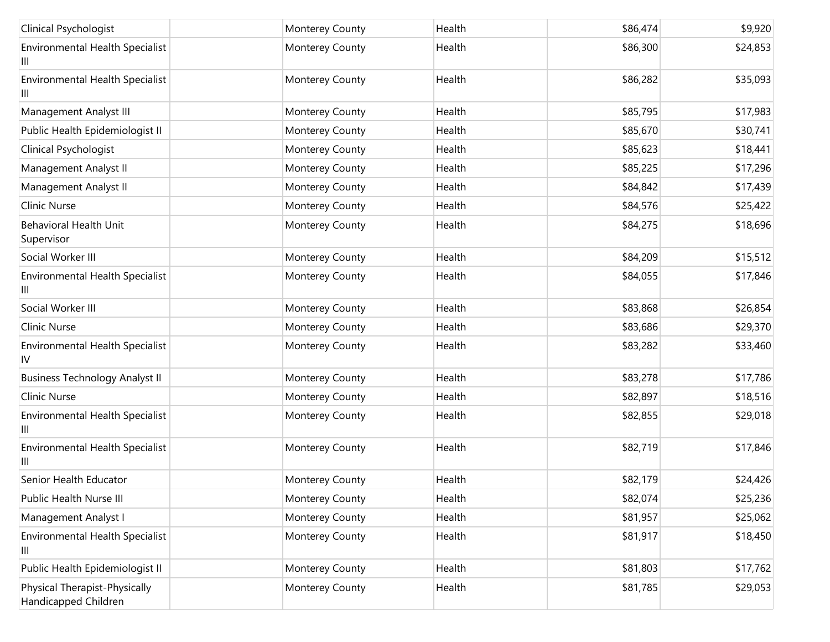| Clinical Psychologist                                 | Monterey County | Health | \$86,474 | \$9,920  |
|-------------------------------------------------------|-----------------|--------|----------|----------|
| Environmental Health Specialist<br>Ш                  | Monterey County | Health | \$86,300 | \$24,853 |
| <b>Environmental Health Specialist</b><br>Ш           | Monterey County | Health | \$86,282 | \$35,093 |
| Management Analyst III                                | Monterey County | Health | \$85,795 | \$17,983 |
| Public Health Epidemiologist II                       | Monterey County | Health | \$85,670 | \$30,741 |
| Clinical Psychologist                                 | Monterey County | Health | \$85,623 | \$18,441 |
| Management Analyst II                                 | Monterey County | Health | \$85,225 | \$17,296 |
| Management Analyst II                                 | Monterey County | Health | \$84,842 | \$17,439 |
| <b>Clinic Nurse</b>                                   | Monterey County | Health | \$84,576 | \$25,422 |
| <b>Behavioral Health Unit</b><br>Supervisor           | Monterey County | Health | \$84,275 | \$18,696 |
| Social Worker III                                     | Monterey County | Health | \$84,209 | \$15,512 |
| Environmental Health Specialist<br>Ш                  | Monterey County | Health | \$84,055 | \$17,846 |
| Social Worker III                                     | Monterey County | Health | \$83,868 | \$26,854 |
| <b>Clinic Nurse</b>                                   | Monterey County | Health | \$83,686 | \$29,370 |
| <b>Environmental Health Specialist</b><br>IV          | Monterey County | Health | \$83,282 | \$33,460 |
| <b>Business Technology Analyst II</b>                 | Monterey County | Health | \$83,278 | \$17,786 |
| <b>Clinic Nurse</b>                                   | Monterey County | Health | \$82,897 | \$18,516 |
| Environmental Health Specialist<br>Ш                  | Monterey County | Health | \$82,855 | \$29,018 |
| Environmental Health Specialist<br>Ш                  | Monterey County | Health | \$82,719 | \$17,846 |
| Senior Health Educator                                | Monterey County | Health | \$82,179 | \$24,426 |
| Public Health Nurse III                               | Monterey County | Health | \$82,074 | \$25,236 |
| Management Analyst I                                  | Monterey County | Health | \$81,957 | \$25,062 |
| Environmental Health Specialist<br>Ш                  | Monterey County | Health | \$81,917 | \$18,450 |
| Public Health Epidemiologist II                       | Monterey County | Health | \$81,803 | \$17,762 |
| Physical Therapist-Physically<br>Handicapped Children | Monterey County | Health | \$81,785 | \$29,053 |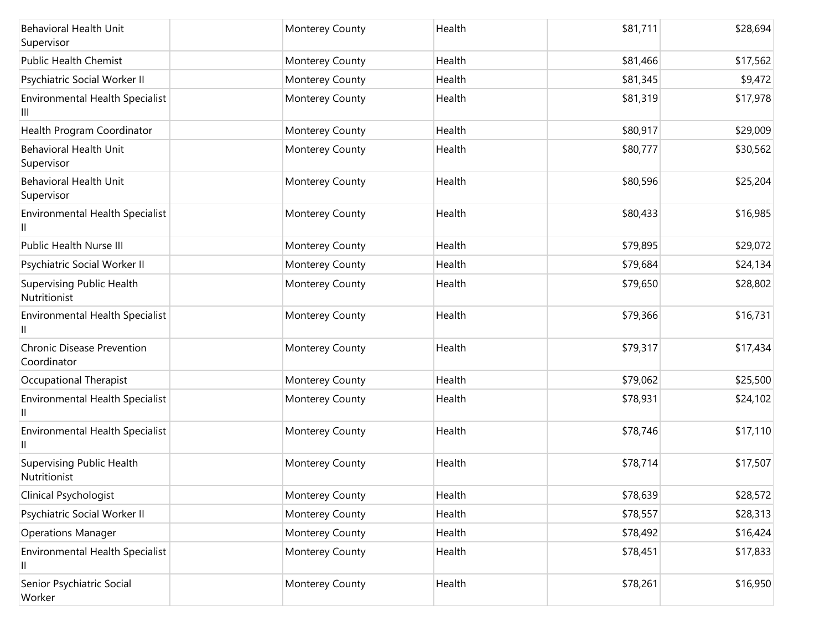| <b>Behavioral Health Unit</b><br>Supervisor      | <b>Monterey County</b> | Health | \$81,711 | \$28,694 |
|--------------------------------------------------|------------------------|--------|----------|----------|
| <b>Public Health Chemist</b>                     | Monterey County        | Health | \$81,466 | \$17,562 |
| Psychiatric Social Worker II                     | Monterey County        | Health | \$81,345 | \$9,472  |
| Environmental Health Specialist<br>Ш             | Monterey County        | Health | \$81,319 | \$17,978 |
| Health Program Coordinator                       | Monterey County        | Health | \$80,917 | \$29,009 |
| <b>Behavioral Health Unit</b><br>Supervisor      | Monterey County        | Health | \$80,777 | \$30,562 |
| <b>Behavioral Health Unit</b><br>Supervisor      | Monterey County        | Health | \$80,596 | \$25,204 |
| Environmental Health Specialist                  | Monterey County        | Health | \$80,433 | \$16,985 |
| Public Health Nurse III                          | Monterey County        | Health | \$79,895 | \$29,072 |
| Psychiatric Social Worker II                     | Monterey County        | Health | \$79,684 | \$24,134 |
| Supervising Public Health<br>Nutritionist        | Monterey County        | Health | \$79,650 | \$28,802 |
| Environmental Health Specialist                  | Monterey County        | Health | \$79,366 | \$16,731 |
| <b>Chronic Disease Prevention</b><br>Coordinator | Monterey County        | Health | \$79,317 | \$17,434 |
| Occupational Therapist                           | Monterey County        | Health | \$79,062 | \$25,500 |
| Environmental Health Specialist                  | Monterey County        | Health | \$78,931 | \$24,102 |
| Environmental Health Specialist<br>Ш             | Monterey County        | Health | \$78,746 | \$17,110 |
| <b>Supervising Public Health</b><br>Nutritionist | Monterey County        | Health | \$78,714 | \$17,507 |
| Clinical Psychologist                            | Monterey County        | Health | \$78,639 | \$28,572 |
| Psychiatric Social Worker II                     | Monterey County        | Health | \$78,557 | \$28,313 |
| <b>Operations Manager</b>                        | Monterey County        | Health | \$78,492 | \$16,424 |
| Environmental Health Specialist<br>Ш             | Monterey County        | Health | \$78,451 | \$17,833 |
| Senior Psychiatric Social<br>Worker              | Monterey County        | Health | \$78,261 | \$16,950 |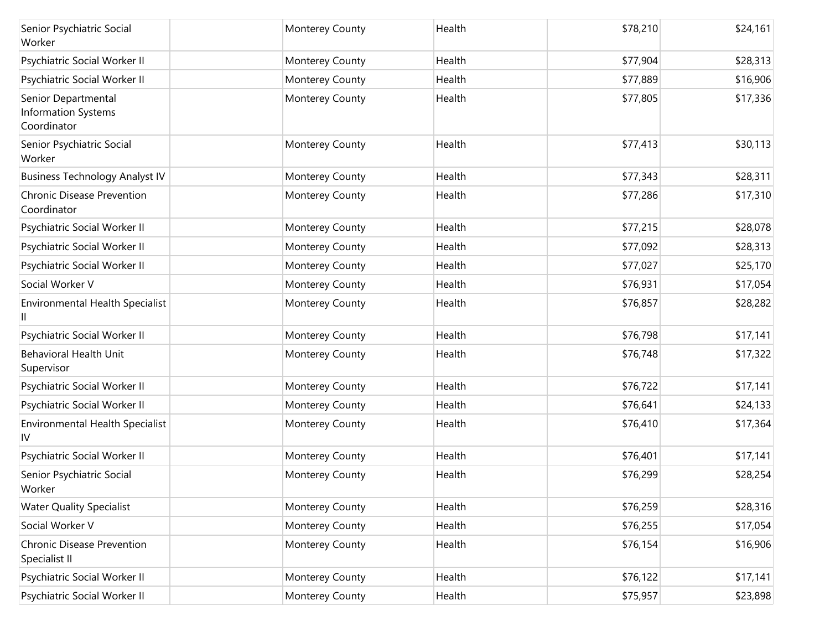| Senior Psychiatric Social<br>Worker                              | Monterey County | Health | \$78,210 | \$24,161 |
|------------------------------------------------------------------|-----------------|--------|----------|----------|
| Psychiatric Social Worker II                                     | Monterey County | Health | \$77,904 | \$28,313 |
| Psychiatric Social Worker II                                     | Monterey County | Health | \$77,889 | \$16,906 |
| Senior Departmental<br><b>Information Systems</b><br>Coordinator | Monterey County | Health | \$77,805 | \$17,336 |
| Senior Psychiatric Social<br>Worker                              | Monterey County | Health | \$77,413 | \$30,113 |
| <b>Business Technology Analyst IV</b>                            | Monterey County | Health | \$77,343 | \$28,311 |
| <b>Chronic Disease Prevention</b><br>Coordinator                 | Monterey County | Health | \$77,286 | \$17,310 |
| Psychiatric Social Worker II                                     | Monterey County | Health | \$77,215 | \$28,078 |
| Psychiatric Social Worker II                                     | Monterey County | Health | \$77,092 | \$28,313 |
| Psychiatric Social Worker II                                     | Monterey County | Health | \$77,027 | \$25,170 |
| Social Worker V                                                  | Monterey County | Health | \$76,931 | \$17,054 |
| <b>Environmental Health Specialist</b>                           | Monterey County | Health | \$76,857 | \$28,282 |
| Psychiatric Social Worker II                                     | Monterey County | Health | \$76,798 | \$17,141 |
| <b>Behavioral Health Unit</b><br>Supervisor                      | Monterey County | Health | \$76,748 | \$17,322 |
| Psychiatric Social Worker II                                     | Monterey County | Health | \$76,722 | \$17,141 |
| Psychiatric Social Worker II                                     | Monterey County | Health | \$76,641 | \$24,133 |
| <b>Environmental Health Specialist</b><br>IV                     | Monterey County | Health | \$76,410 | \$17,364 |
| Psychiatric Social Worker II                                     | Monterey County | Health | \$76,401 | \$17,141 |
| Senior Psychiatric Social<br>Worker                              | Monterey County | Health | \$76,299 | \$28,254 |
| <b>Water Quality Specialist</b>                                  | Monterey County | Health | \$76,259 | \$28,316 |
| Social Worker V                                                  | Monterey County | Health | \$76,255 | \$17,054 |
| <b>Chronic Disease Prevention</b><br>Specialist II               | Monterey County | Health | \$76,154 | \$16,906 |
| Psychiatric Social Worker II                                     | Monterey County | Health | \$76,122 | \$17,141 |
| Psychiatric Social Worker II                                     | Monterey County | Health | \$75,957 | \$23,898 |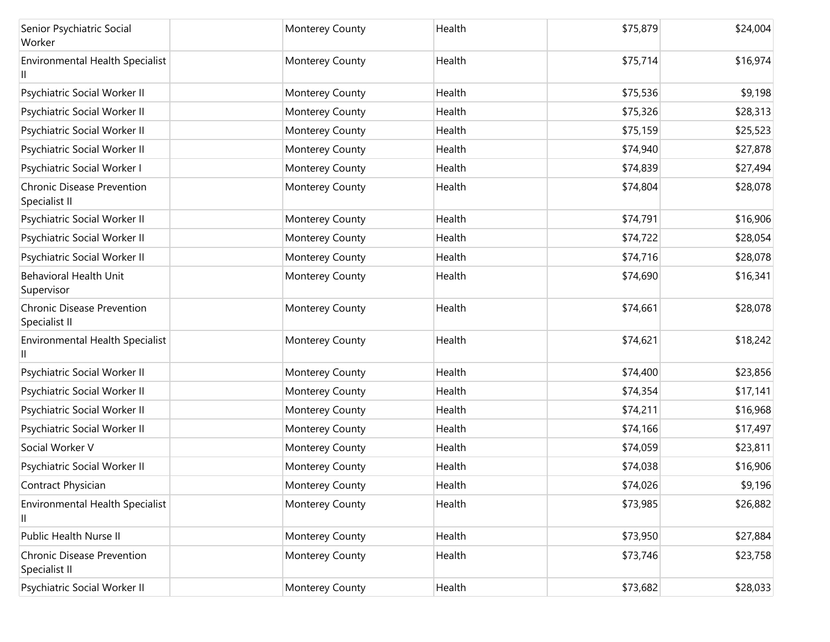| Senior Psychiatric Social<br>Worker                | Monterey County        | Health | \$75,879 | \$24,004 |
|----------------------------------------------------|------------------------|--------|----------|----------|
| Environmental Health Specialist                    | Monterey County        | Health | \$75,714 | \$16,974 |
| Psychiatric Social Worker II                       | Monterey County        | Health | \$75,536 | \$9,198  |
| Psychiatric Social Worker II                       | Monterey County        | Health | \$75,326 | \$28,313 |
| Psychiatric Social Worker II                       | Monterey County        | Health | \$75,159 | \$25,523 |
| Psychiatric Social Worker II                       | Monterey County        | Health | \$74,940 | \$27,878 |
| Psychiatric Social Worker I                        | Monterey County        | Health | \$74,839 | \$27,494 |
| <b>Chronic Disease Prevention</b><br>Specialist II | Monterey County        | Health | \$74,804 | \$28,078 |
| Psychiatric Social Worker II                       | Monterey County        | Health | \$74,791 | \$16,906 |
| Psychiatric Social Worker II                       | Monterey County        | Health | \$74,722 | \$28,054 |
| Psychiatric Social Worker II                       | Monterey County        | Health | \$74,716 | \$28,078 |
| <b>Behavioral Health Unit</b><br>Supervisor        | Monterey County        | Health | \$74,690 | \$16,341 |
| <b>Chronic Disease Prevention</b><br>Specialist II | Monterey County        | Health | \$74,661 | \$28,078 |
| Environmental Health Specialist                    | Monterey County        | Health | \$74,621 | \$18,242 |
| Psychiatric Social Worker II                       | Monterey County        | Health | \$74,400 | \$23,856 |
| Psychiatric Social Worker II                       | Monterey County        | Health | \$74,354 | \$17,141 |
| Psychiatric Social Worker II                       | Monterey County        | Health | \$74,211 | \$16,968 |
| Psychiatric Social Worker II                       | Monterey County        | Health | \$74,166 | \$17,497 |
| Social Worker V                                    | Monterey County        | Health | \$74,059 | \$23,811 |
| Psychiatric Social Worker II                       | Monterey County        | Health | \$74,038 | \$16,906 |
| Contract Physician                                 | <b>Monterey County</b> | Health | \$74,026 | \$9,196  |
| Environmental Health Specialist<br>Ш               | Monterey County        | Health | \$73,985 | \$26,882 |
| Public Health Nurse II                             | Monterey County        | Health | \$73,950 | \$27,884 |
| <b>Chronic Disease Prevention</b><br>Specialist II | Monterey County        | Health | \$73,746 | \$23,758 |
| Psychiatric Social Worker II                       | Monterey County        | Health | \$73,682 | \$28,033 |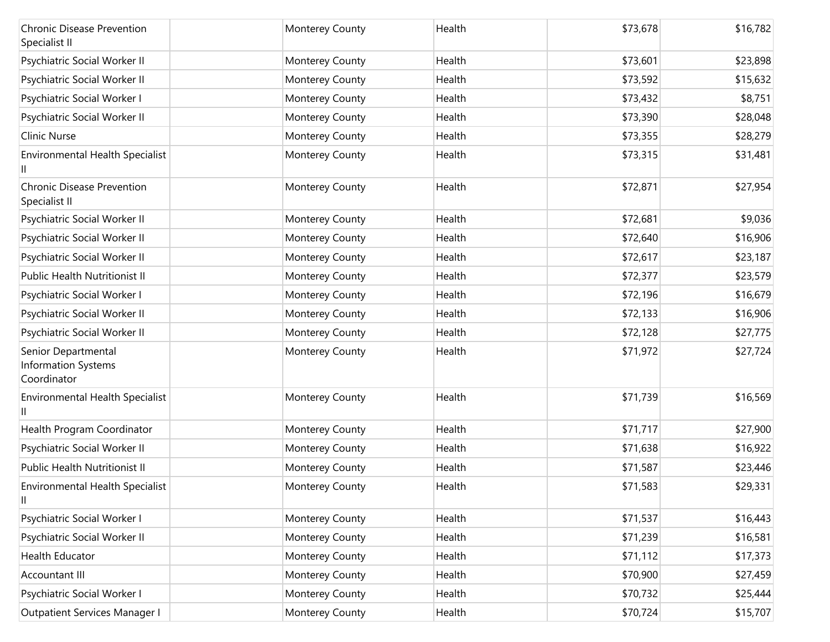| <b>Chronic Disease Prevention</b><br>Specialist II               | Monterey County | Health | \$73,678 | \$16,782 |
|------------------------------------------------------------------|-----------------|--------|----------|----------|
| Psychiatric Social Worker II                                     | Monterey County | Health | \$73,601 | \$23,898 |
| Psychiatric Social Worker II                                     | Monterey County | Health | \$73,592 | \$15,632 |
| Psychiatric Social Worker I                                      | Monterey County | Health | \$73,432 | \$8,751  |
| Psychiatric Social Worker II                                     | Monterey County | Health | \$73,390 | \$28,048 |
| Clinic Nurse                                                     | Monterey County | Health | \$73,355 | \$28,279 |
| <b>Environmental Health Specialist</b>                           | Monterey County | Health | \$73,315 | \$31,481 |
| <b>Chronic Disease Prevention</b><br>Specialist II               | Monterey County | Health | \$72,871 | \$27,954 |
| Psychiatric Social Worker II                                     | Monterey County | Health | \$72,681 | \$9,036  |
| Psychiatric Social Worker II                                     | Monterey County | Health | \$72,640 | \$16,906 |
| Psychiatric Social Worker II                                     | Monterey County | Health | \$72,617 | \$23,187 |
| Public Health Nutritionist II                                    | Monterey County | Health | \$72,377 | \$23,579 |
| Psychiatric Social Worker I                                      | Monterey County | Health | \$72,196 | \$16,679 |
| Psychiatric Social Worker II                                     | Monterey County | Health | \$72,133 | \$16,906 |
| Psychiatric Social Worker II                                     | Monterey County | Health | \$72,128 | \$27,775 |
| Senior Departmental<br><b>Information Systems</b><br>Coordinator | Monterey County | Health | \$71,972 | \$27,724 |
| Environmental Health Specialist                                  | Monterey County | Health | \$71,739 | \$16,569 |
| Health Program Coordinator                                       | Monterey County | Health | \$71,717 | \$27,900 |
| Psychiatric Social Worker II                                     | Monterey County | Health | \$71,638 | \$16,922 |
| <b>Public Health Nutritionist II</b>                             | Monterey County | Health | \$71,587 | \$23,446 |
| <b>Environmental Health Specialist</b><br>Ш                      | Monterey County | Health | \$71,583 | \$29,331 |
| Psychiatric Social Worker I                                      | Monterey County | Health | \$71,537 | \$16,443 |
| Psychiatric Social Worker II                                     | Monterey County | Health | \$71,239 | \$16,581 |
| Health Educator                                                  | Monterey County | Health | \$71,112 | \$17,373 |
| Accountant III                                                   | Monterey County | Health | \$70,900 | \$27,459 |
| Psychiatric Social Worker I                                      | Monterey County | Health | \$70,732 | \$25,444 |
| Outpatient Services Manager I                                    | Monterey County | Health | \$70,724 | \$15,707 |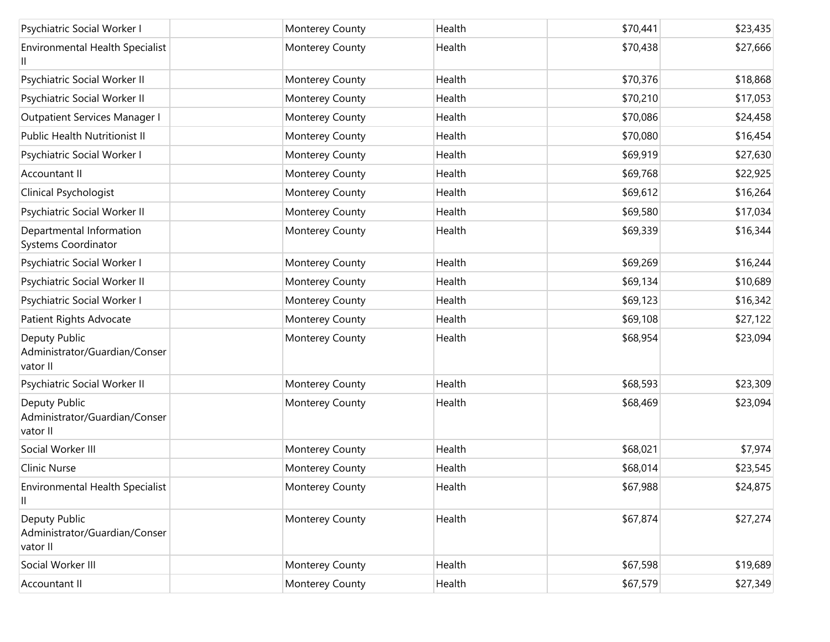| Psychiatric Social Worker I                                | Monterey County | Health | \$70,441 | \$23,435 |
|------------------------------------------------------------|-----------------|--------|----------|----------|
| Environmental Health Specialist<br>Ш                       | Monterey County | Health | \$70,438 | \$27,666 |
| Psychiatric Social Worker II                               | Monterey County | Health | \$70,376 | \$18,868 |
| Psychiatric Social Worker II                               | Monterey County | Health | \$70,210 | \$17,053 |
| Outpatient Services Manager I                              | Monterey County | Health | \$70,086 | \$24,458 |
| <b>Public Health Nutritionist II</b>                       | Monterey County | Health | \$70,080 | \$16,454 |
| Psychiatric Social Worker I                                | Monterey County | Health | \$69,919 | \$27,630 |
| Accountant II                                              | Monterey County | Health | \$69,768 | \$22,925 |
| Clinical Psychologist                                      | Monterey County | Health | \$69,612 | \$16,264 |
| Psychiatric Social Worker II                               | Monterey County | Health | \$69,580 | \$17,034 |
| Departmental Information<br>Systems Coordinator            | Monterey County | Health | \$69,339 | \$16,344 |
| Psychiatric Social Worker I                                | Monterey County | Health | \$69,269 | \$16,244 |
| Psychiatric Social Worker II                               | Monterey County | Health | \$69,134 | \$10,689 |
| Psychiatric Social Worker I                                | Monterey County | Health | \$69,123 | \$16,342 |
| Patient Rights Advocate                                    | Monterey County | Health | \$69,108 | \$27,122 |
| Deputy Public<br>Administrator/Guardian/Conser<br>vator II | Monterey County | Health | \$68,954 | \$23,094 |
| Psychiatric Social Worker II                               | Monterey County | Health | \$68,593 | \$23,309 |
| Deputy Public<br>Administrator/Guardian/Conser<br>vator II | Monterey County | Health | \$68,469 | \$23,094 |
| Social Worker III                                          | Monterey County | Health | \$68,021 | \$7,974  |
| Clinic Nurse                                               | Monterey County | Health | \$68,014 | \$23,545 |
| <b>Environmental Health Specialist</b><br>11               | Monterey County | Health | \$67,988 | \$24,875 |
| Deputy Public<br>Administrator/Guardian/Conser<br>vator II | Monterey County | Health | \$67,874 | \$27,274 |
| Social Worker III                                          | Monterey County | Health | \$67,598 | \$19,689 |
| Accountant II                                              | Monterey County | Health | \$67,579 | \$27,349 |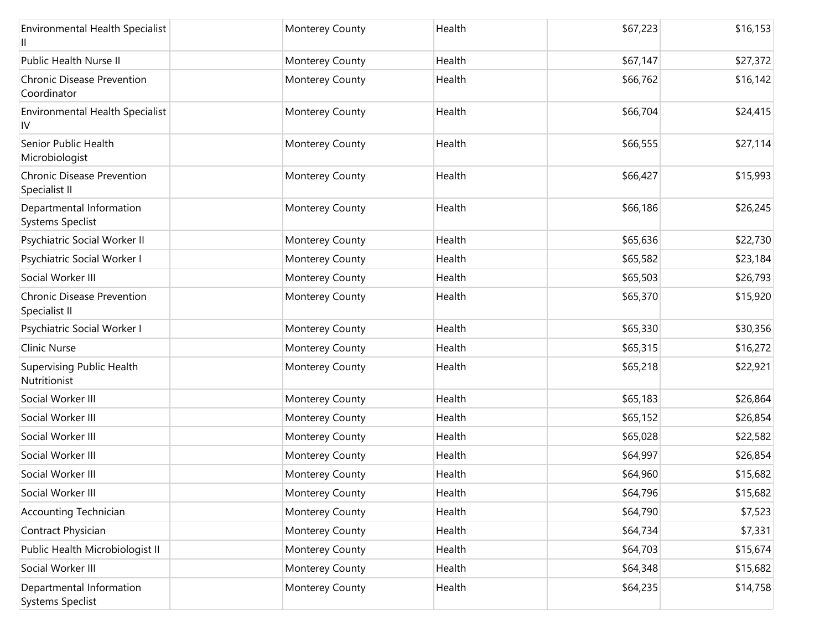| <b>Environmental Health Specialist</b>              | Monterey County | Health | \$67,223 | \$16,153 |
|-----------------------------------------------------|-----------------|--------|----------|----------|
| Public Health Nurse II                              | Monterey County | Health | \$67,147 | \$27,372 |
| Chronic Disease Prevention<br>Coordinator           | Monterey County | Health | \$66,762 | \$16,142 |
| <b>Environmental Health Specialist</b><br>IV        | Monterey County | Health | \$66,704 | \$24,415 |
| Senior Public Health<br>Microbiologist              | Monterey County | Health | \$66,555 | \$27,114 |
| <b>Chronic Disease Prevention</b><br>Specialist II  | Monterey County | Health | \$66,427 | \$15,993 |
| Departmental Information<br>Systems Speclist        | Monterey County | Health | \$66,186 | \$26,245 |
| Psychiatric Social Worker II                        | Monterey County | Health | \$65,636 | \$22,730 |
| Psychiatric Social Worker I                         | Monterey County | Health | \$65,582 | \$23,184 |
| Social Worker III                                   | Monterey County | Health | \$65,503 | \$26,793 |
| <b>Chronic Disease Prevention</b><br>Specialist II  | Monterey County | Health | \$65,370 | \$15,920 |
| Psychiatric Social Worker I                         | Monterey County | Health | \$65,330 | \$30,356 |
| <b>Clinic Nurse</b>                                 | Monterey County | Health | \$65,315 | \$16,272 |
| Supervising Public Health<br>Nutritionist           | Monterey County | Health | \$65,218 | \$22,921 |
| Social Worker III                                   | Monterey County | Health | \$65,183 | \$26,864 |
| Social Worker III                                   | Monterey County | Health | \$65,152 | \$26,854 |
| Social Worker III                                   | Monterey County | Health | \$65,028 | \$22,582 |
| Social Worker III                                   | Monterey County | Health | \$64,997 | \$26,854 |
| Social Worker III                                   | Monterey County | Health | \$64,960 | \$15,682 |
| Social Worker III                                   | Monterey County | Health | \$64,796 | \$15,682 |
| <b>Accounting Technician</b>                        | Monterey County | Health | \$64,790 | \$7,523  |
| Contract Physician                                  | Monterey County | Health | \$64,734 | \$7,331  |
| Public Health Microbiologist II                     | Monterey County | Health | \$64,703 | \$15,674 |
| Social Worker III                                   | Monterey County | Health | \$64,348 | \$15,682 |
| Departmental Information<br><b>Systems Speclist</b> | Monterey County | Health | \$64,235 | \$14,758 |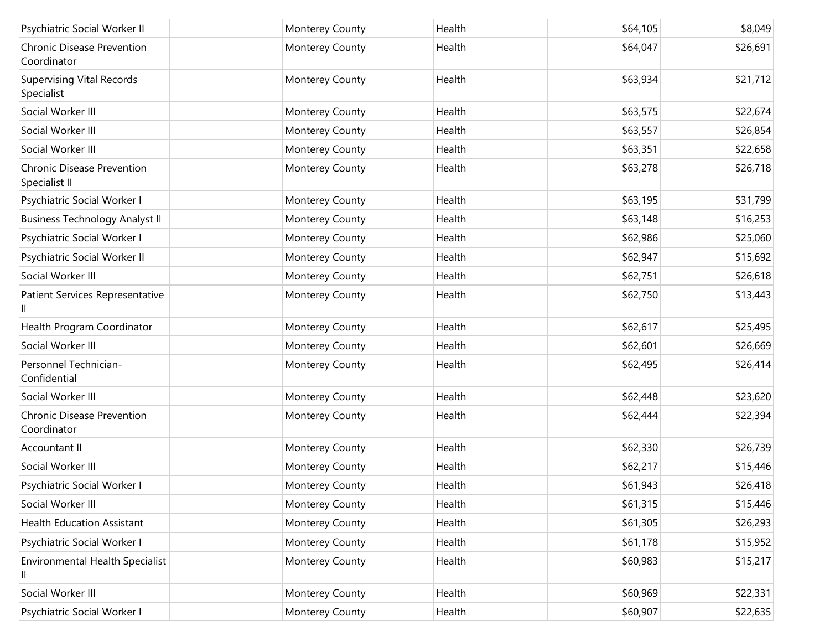| Psychiatric Social Worker II                       | Monterey County | Health | \$64,105 | \$8,049  |
|----------------------------------------------------|-----------------|--------|----------|----------|
| <b>Chronic Disease Prevention</b><br>Coordinator   | Monterey County | Health | \$64,047 | \$26,691 |
| <b>Supervising Vital Records</b><br>Specialist     | Monterey County | Health | \$63,934 | \$21,712 |
| Social Worker III                                  | Monterey County | Health | \$63,575 | \$22,674 |
| Social Worker III                                  | Monterey County | Health | \$63,557 | \$26,854 |
| Social Worker III                                  | Monterey County | Health | \$63,351 | \$22,658 |
| <b>Chronic Disease Prevention</b><br>Specialist II | Monterey County | Health | \$63,278 | \$26,718 |
| Psychiatric Social Worker I                        | Monterey County | Health | \$63,195 | \$31,799 |
| <b>Business Technology Analyst II</b>              | Monterey County | Health | \$63,148 | \$16,253 |
| Psychiatric Social Worker I                        | Monterey County | Health | \$62,986 | \$25,060 |
| Psychiatric Social Worker II                       | Monterey County | Health | \$62,947 | \$15,692 |
| Social Worker III                                  | Monterey County | Health | \$62,751 | \$26,618 |
| Patient Services Representative<br>Ш               | Monterey County | Health | \$62,750 | \$13,443 |
| Health Program Coordinator                         | Monterey County | Health | \$62,617 | \$25,495 |
| Social Worker III                                  | Monterey County | Health | \$62,601 | \$26,669 |
| Personnel Technician-<br>Confidential              | Monterey County | Health | \$62,495 | \$26,414 |
| Social Worker III                                  | Monterey County | Health | \$62,448 | \$23,620 |
| <b>Chronic Disease Prevention</b><br>Coordinator   | Monterey County | Health | \$62,444 | \$22,394 |
| Accountant II                                      | Monterey County | Health | \$62,330 | \$26,739 |
| Social Worker III                                  | Monterey County | Health | \$62,217 | \$15,446 |
| Psychiatric Social Worker I                        | Monterey County | Health | \$61,943 | \$26,418 |
| Social Worker III                                  | Monterey County | Health | \$61,315 | \$15,446 |
| <b>Health Education Assistant</b>                  | Monterey County | Health | \$61,305 | \$26,293 |
| Psychiatric Social Worker I                        | Monterey County | Health | \$61,178 | \$15,952 |
| Environmental Health Specialist                    | Monterey County | Health | \$60,983 | \$15,217 |
| Social Worker III                                  | Monterey County | Health | \$60,969 | \$22,331 |
| Psychiatric Social Worker I                        | Monterey County | Health | \$60,907 | \$22,635 |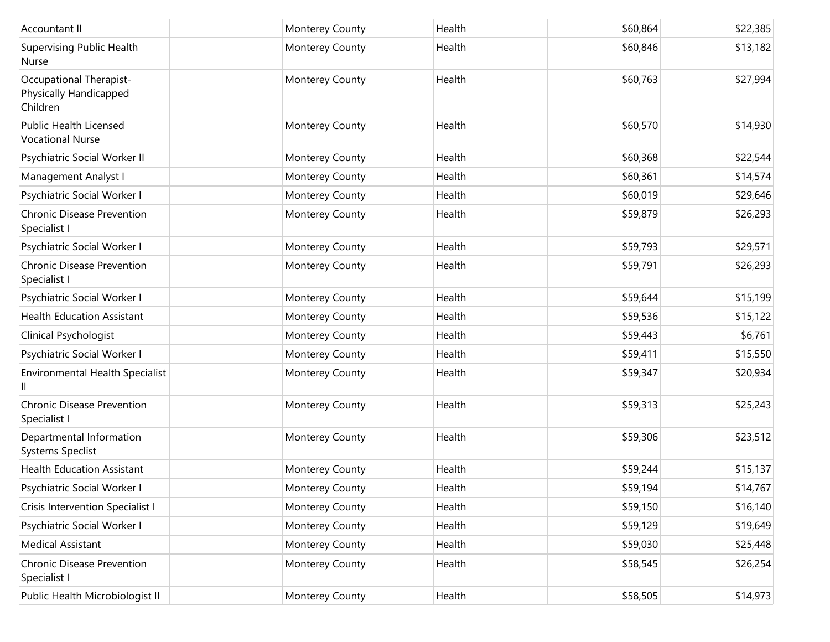| Accountant II                                                 | Monterey County | Health | \$60,864 | \$22,385 |
|---------------------------------------------------------------|-----------------|--------|----------|----------|
| <b>Supervising Public Health</b><br>Nurse                     | Monterey County | Health | \$60,846 | \$13,182 |
| Occupational Therapist-<br>Physically Handicapped<br>Children | Monterey County | Health | \$60,763 | \$27,994 |
| <b>Public Health Licensed</b><br><b>Vocational Nurse</b>      | Monterey County | Health | \$60,570 | \$14,930 |
| Psychiatric Social Worker II                                  | Monterey County | Health | \$60,368 | \$22,544 |
| Management Analyst I                                          | Monterey County | Health | \$60,361 | \$14,574 |
| Psychiatric Social Worker I                                   | Monterey County | Health | \$60,019 | \$29,646 |
| <b>Chronic Disease Prevention</b><br>Specialist I             | Monterey County | Health | \$59,879 | \$26,293 |
| Psychiatric Social Worker I                                   | Monterey County | Health | \$59,793 | \$29,571 |
| <b>Chronic Disease Prevention</b><br>Specialist I             | Monterey County | Health | \$59,791 | \$26,293 |
| Psychiatric Social Worker I                                   | Monterey County | Health | \$59,644 | \$15,199 |
| <b>Health Education Assistant</b>                             | Monterey County | Health | \$59,536 | \$15,122 |
| Clinical Psychologist                                         | Monterey County | Health | \$59,443 | \$6,761  |
| Psychiatric Social Worker I                                   | Monterey County | Health | \$59,411 | \$15,550 |
| Environmental Health Specialist                               | Monterey County | Health | \$59,347 | \$20,934 |
| <b>Chronic Disease Prevention</b><br>Specialist I             | Monterey County | Health | \$59,313 | \$25,243 |
| Departmental Information<br><b>Systems Speclist</b>           | Monterey County | Health | \$59,306 | \$23,512 |
| <b>Health Education Assistant</b>                             | Monterey County | Health | \$59,244 | \$15,137 |
| Psychiatric Social Worker I                                   | Monterey County | Health | \$59,194 | \$14,767 |
| Crisis Intervention Specialist I                              | Monterey County | Health | \$59,150 | \$16,140 |
| Psychiatric Social Worker I                                   | Monterey County | Health | \$59,129 | \$19,649 |
| <b>Medical Assistant</b>                                      | Monterey County | Health | \$59,030 | \$25,448 |
| <b>Chronic Disease Prevention</b><br>Specialist I             | Monterey County | Health | \$58,545 | \$26,254 |
| Public Health Microbiologist II                               | Monterey County | Health | \$58,505 | \$14,973 |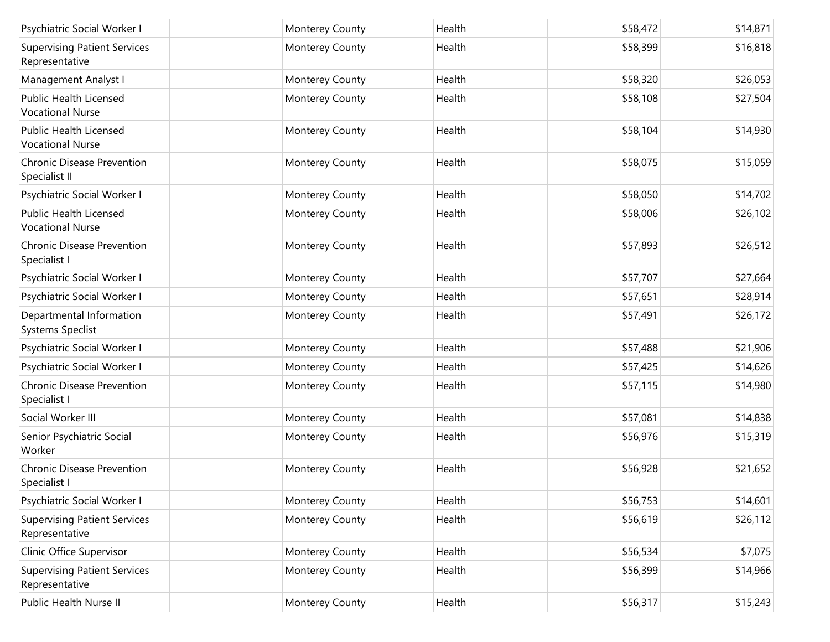| Psychiatric Social Worker I                              | Monterey County | Health | \$58,472 | \$14,871 |
|----------------------------------------------------------|-----------------|--------|----------|----------|
| <b>Supervising Patient Services</b><br>Representative    | Monterey County | Health | \$58,399 | \$16,818 |
| Management Analyst I                                     | Monterey County | Health | \$58,320 | \$26,053 |
| <b>Public Health Licensed</b><br><b>Vocational Nurse</b> | Monterey County | Health | \$58,108 | \$27,504 |
| Public Health Licensed<br><b>Vocational Nurse</b>        | Monterey County | Health | \$58,104 | \$14,930 |
| <b>Chronic Disease Prevention</b><br>Specialist II       | Monterey County | Health | \$58,075 | \$15,059 |
| Psychiatric Social Worker I                              | Monterey County | Health | \$58,050 | \$14,702 |
| <b>Public Health Licensed</b><br><b>Vocational Nurse</b> | Monterey County | Health | \$58,006 | \$26,102 |
| <b>Chronic Disease Prevention</b><br>Specialist I        | Monterey County | Health | \$57,893 | \$26,512 |
| Psychiatric Social Worker I                              | Monterey County | Health | \$57,707 | \$27,664 |
| Psychiatric Social Worker I                              | Monterey County | Health | \$57,651 | \$28,914 |
| Departmental Information<br><b>Systems Speclist</b>      | Monterey County | Health | \$57,491 | \$26,172 |
| Psychiatric Social Worker I                              | Monterey County | Health | \$57,488 | \$21,906 |
| Psychiatric Social Worker I                              | Monterey County | Health | \$57,425 | \$14,626 |
| <b>Chronic Disease Prevention</b><br>Specialist I        | Monterey County | Health | \$57,115 | \$14,980 |
| Social Worker III                                        | Monterey County | Health | \$57,081 | \$14,838 |
| Senior Psychiatric Social<br>Worker                      | Monterey County | Health | \$56,976 | \$15,319 |
| <b>Chronic Disease Prevention</b><br>Specialist I        | Monterey County | Health | \$56,928 | \$21,652 |
| Psychiatric Social Worker I                              | Monterey County | Health | \$56,753 | \$14,601 |
| <b>Supervising Patient Services</b><br>Representative    | Monterey County | Health | \$56,619 | \$26,112 |
| Clinic Office Supervisor                                 | Monterey County | Health | \$56,534 | \$7,075  |
| <b>Supervising Patient Services</b><br>Representative    | Monterey County | Health | \$56,399 | \$14,966 |
| Public Health Nurse II                                   | Monterey County | Health | \$56,317 | \$15,243 |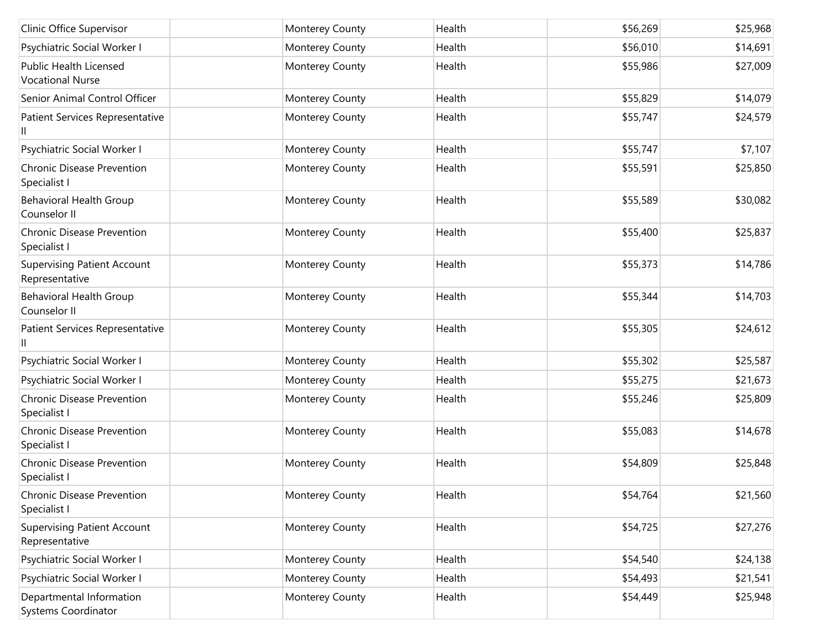| Clinic Office Supervisor                               | Monterey County | Health | \$56,269 | \$25,968 |
|--------------------------------------------------------|-----------------|--------|----------|----------|
| Psychiatric Social Worker I                            | Monterey County | Health | \$56,010 | \$14,691 |
| Public Health Licensed<br><b>Vocational Nurse</b>      | Monterey County | Health | \$55,986 | \$27,009 |
| Senior Animal Control Officer                          | Monterey County | Health | \$55,829 | \$14,079 |
| Patient Services Representative<br>Ш                   | Monterey County | Health | \$55,747 | \$24,579 |
| Psychiatric Social Worker I                            | Monterey County | Health | \$55,747 | \$7,107  |
| Chronic Disease Prevention<br>Specialist I             | Monterey County | Health | \$55,591 | \$25,850 |
| <b>Behavioral Health Group</b><br>Counselor II         | Monterey County | Health | \$55,589 | \$30,082 |
| Chronic Disease Prevention<br>Specialist I             | Monterey County | Health | \$55,400 | \$25,837 |
| <b>Supervising Patient Account</b><br>Representative   | Monterey County | Health | \$55,373 | \$14,786 |
| <b>Behavioral Health Group</b><br>Counselor II         | Monterey County | Health | \$55,344 | \$14,703 |
| Patient Services Representative<br>Ш                   | Monterey County | Health | \$55,305 | \$24,612 |
| Psychiatric Social Worker I                            | Monterey County | Health | \$55,302 | \$25,587 |
| Psychiatric Social Worker I                            | Monterey County | Health | \$55,275 | \$21,673 |
| <b>Chronic Disease Prevention</b><br>Specialist I      | Monterey County | Health | \$55,246 | \$25,809 |
| Chronic Disease Prevention<br>Specialist I             | Monterey County | Health | \$55,083 | \$14,678 |
| Chronic Disease Prevention<br>Specialist I             | Monterey County | Health | \$54,809 | \$25,848 |
| Chronic Disease Prevention<br>Specialist I             | Monterey County | Health | \$54,764 | \$21,560 |
| <b>Supervising Patient Account</b><br>Representative   | Monterey County | Health | \$54,725 | \$27,276 |
| Psychiatric Social Worker I                            | Monterey County | Health | \$54,540 | \$24,138 |
| Psychiatric Social Worker I                            | Monterey County | Health | \$54,493 | \$21,541 |
| Departmental Information<br><b>Systems Coordinator</b> | Monterey County | Health | \$54,449 | \$25,948 |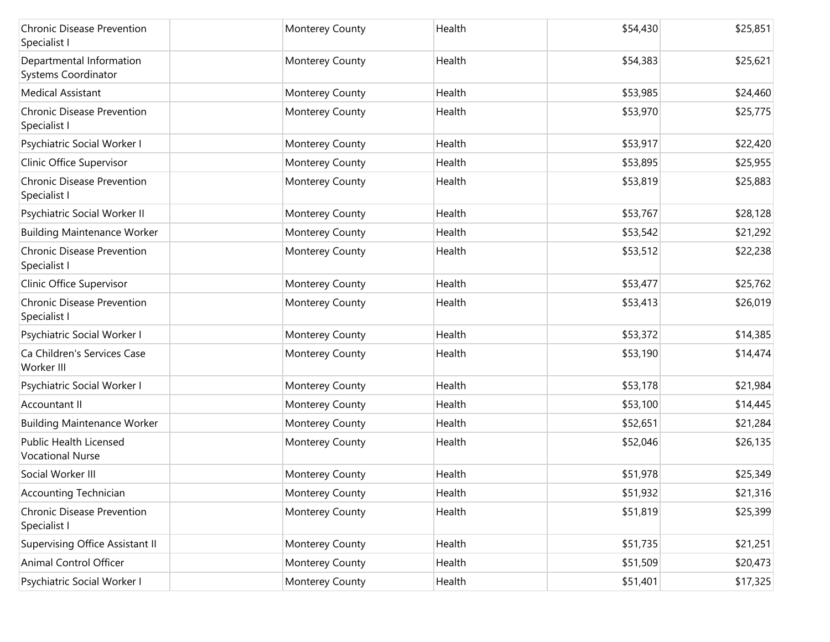| Chronic Disease Prevention<br>Specialist I               | Monterey County        | Health | \$54,430 | \$25,851 |
|----------------------------------------------------------|------------------------|--------|----------|----------|
| Departmental Information<br>Systems Coordinator          | Monterey County        | Health | \$54,383 | \$25,621 |
| <b>Medical Assistant</b>                                 | Monterey County        | Health | \$53,985 | \$24,460 |
| <b>Chronic Disease Prevention</b><br>Specialist I        | Monterey County        | Health | \$53,970 | \$25,775 |
| Psychiatric Social Worker I                              | Monterey County        | Health | \$53,917 | \$22,420 |
| Clinic Office Supervisor                                 | Monterey County        | Health | \$53,895 | \$25,955 |
| <b>Chronic Disease Prevention</b><br>Specialist I        | Monterey County        | Health | \$53,819 | \$25,883 |
| Psychiatric Social Worker II                             | Monterey County        | Health | \$53,767 | \$28,128 |
| <b>Building Maintenance Worker</b>                       | Monterey County        | Health | \$53,542 | \$21,292 |
| <b>Chronic Disease Prevention</b><br>Specialist I        | Monterey County        | Health | \$53,512 | \$22,238 |
| Clinic Office Supervisor                                 | Monterey County        | Health | \$53,477 | \$25,762 |
| <b>Chronic Disease Prevention</b><br>Specialist I        | Monterey County        | Health | \$53,413 | \$26,019 |
| Psychiatric Social Worker I                              | Monterey County        | Health | \$53,372 | \$14,385 |
| Ca Children's Services Case<br>Worker III                | Monterey County        | Health | \$53,190 | \$14,474 |
| Psychiatric Social Worker I                              | Monterey County        | Health | \$53,178 | \$21,984 |
| Accountant II                                            | Monterey County        | Health | \$53,100 | \$14,445 |
| <b>Building Maintenance Worker</b>                       | Monterey County        | Health | \$52,651 | \$21,284 |
| <b>Public Health Licensed</b><br><b>Vocational Nurse</b> | Monterey County        | Health | \$52,046 | \$26,135 |
| Social Worker III                                        | Monterey County        | Health | \$51,978 | \$25,349 |
| Accounting Technician                                    | <b>Monterey County</b> | Health | \$51,932 | \$21,316 |
| Chronic Disease Prevention<br>Specialist I               | Monterey County        | Health | \$51,819 | \$25,399 |
| Supervising Office Assistant II                          | Monterey County        | Health | \$51,735 | \$21,251 |
| Animal Control Officer                                   | Monterey County        | Health | \$51,509 | \$20,473 |
| Psychiatric Social Worker I                              | Monterey County        | Health | \$51,401 | \$17,325 |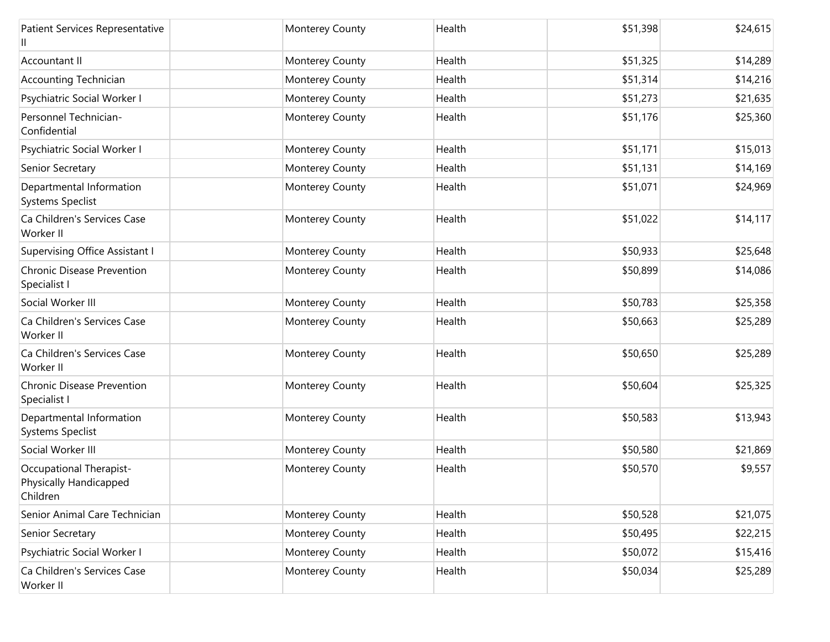| Patient Services Representative                                      | Monterey County | Health | \$51,398 | \$24,615 |
|----------------------------------------------------------------------|-----------------|--------|----------|----------|
| Accountant II                                                        | Monterey County | Health | \$51,325 | \$14,289 |
| <b>Accounting Technician</b>                                         | Monterey County | Health | \$51,314 | \$14,216 |
| Psychiatric Social Worker I                                          | Monterey County | Health | \$51,273 | \$21,635 |
| Personnel Technician-<br>Confidential                                | Monterey County | Health | \$51,176 | \$25,360 |
| Psychiatric Social Worker I                                          | Monterey County | Health | \$51,171 | \$15,013 |
| Senior Secretary                                                     | Monterey County | Health | \$51,131 | \$14,169 |
| Departmental Information<br>Systems Speclist                         | Monterey County | Health | \$51,071 | \$24,969 |
| Ca Children's Services Case<br>Worker II                             | Monterey County | Health | \$51,022 | \$14,117 |
| Supervising Office Assistant I                                       | Monterey County | Health | \$50,933 | \$25,648 |
| Chronic Disease Prevention<br>Specialist I                           | Monterey County | Health | \$50,899 | \$14,086 |
| Social Worker III                                                    | Monterey County | Health | \$50,783 | \$25,358 |
| Ca Children's Services Case<br>Worker II                             | Monterey County | Health | \$50,663 | \$25,289 |
| Ca Children's Services Case<br>Worker II                             | Monterey County | Health | \$50,650 | \$25,289 |
| <b>Chronic Disease Prevention</b><br>Specialist I                    | Monterey County | Health | \$50,604 | \$25,325 |
| Departmental Information<br>Systems Speclist                         | Monterey County | Health | \$50,583 | \$13,943 |
| Social Worker III                                                    | Monterey County | Health | \$50,580 | \$21,869 |
| <b>Occupational Therapist-</b><br>Physically Handicapped<br>Children | Monterey County | Health | \$50,570 | \$9,557  |
| Senior Animal Care Technician                                        | Monterey County | Health | \$50,528 | \$21,075 |
| Senior Secretary                                                     | Monterey County | Health | \$50,495 | \$22,215 |
| Psychiatric Social Worker I                                          | Monterey County | Health | \$50,072 | \$15,416 |
| Ca Children's Services Case<br>Worker II                             | Monterey County | Health | \$50,034 | \$25,289 |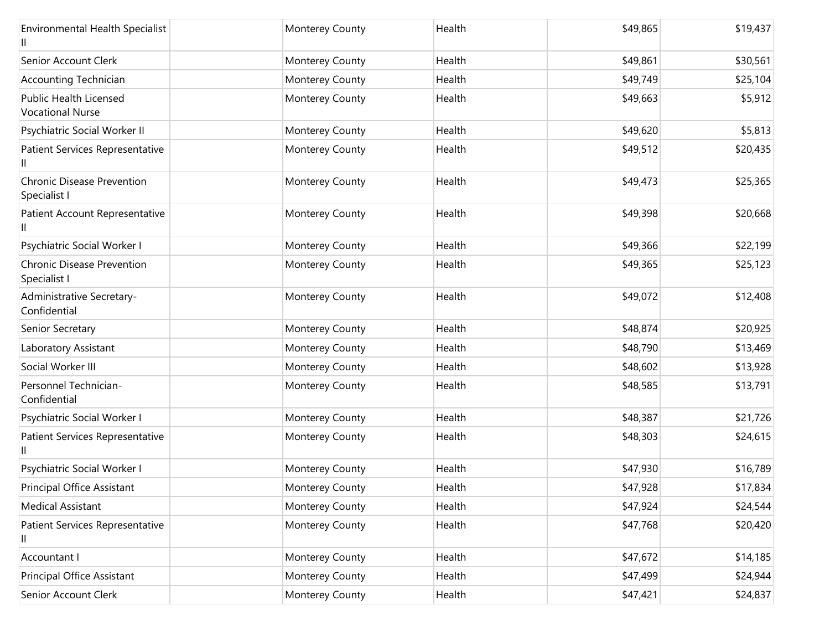| <b>Environmental Health Specialist</b>            | Monterey County | Health | \$49,865 | \$19,437 |
|---------------------------------------------------|-----------------|--------|----------|----------|
| Senior Account Clerk                              | Monterey County | Health | \$49,861 | \$30,561 |
| Accounting Technician                             | Monterey County | Health | \$49,749 | \$25,104 |
| Public Health Licensed<br><b>Vocational Nurse</b> | Monterey County | Health | \$49,663 | \$5,912  |
| Psychiatric Social Worker II                      | Monterey County | Health | \$49,620 | \$5,813  |
| Patient Services Representative                   | Monterey County | Health | \$49,512 | \$20,435 |
| <b>Chronic Disease Prevention</b><br>Specialist I | Monterey County | Health | \$49,473 | \$25,365 |
| Patient Account Representative                    | Monterey County | Health | \$49,398 | \$20,668 |
| Psychiatric Social Worker I                       | Monterey County | Health | \$49,366 | \$22,199 |
| <b>Chronic Disease Prevention</b><br>Specialist I | Monterey County | Health | \$49,365 | \$25,123 |
| Administrative Secretary-<br>Confidential         | Monterey County | Health | \$49,072 | \$12,408 |
| Senior Secretary                                  | Monterey County | Health | \$48,874 | \$20,925 |
| Laboratory Assistant                              | Monterey County | Health | \$48,790 | \$13,469 |
| Social Worker III                                 | Monterey County | Health | \$48,602 | \$13,928 |
| Personnel Technician-<br>Confidential             | Monterey County | Health | \$48,585 | \$13,791 |
| Psychiatric Social Worker I                       | Monterey County | Health | \$48,387 | \$21,726 |
| Patient Services Representative                   | Monterey County | Health | \$48,303 | \$24,615 |
| Psychiatric Social Worker I                       | Monterey County | Health | \$47,930 | \$16,789 |
| Principal Office Assistant                        | Monterey County | Health | \$47,928 | \$17,834 |
| <b>Medical Assistant</b>                          | Monterey County | Health | \$47,924 | \$24,544 |
| Patient Services Representative<br>Ш              | Monterey County | Health | \$47,768 | \$20,420 |
| Accountant I                                      | Monterey County | Health | \$47,672 | \$14,185 |
| Principal Office Assistant                        | Monterey County | Health | \$47,499 | \$24,944 |
| Senior Account Clerk                              | Monterey County | Health | \$47,421 | \$24,837 |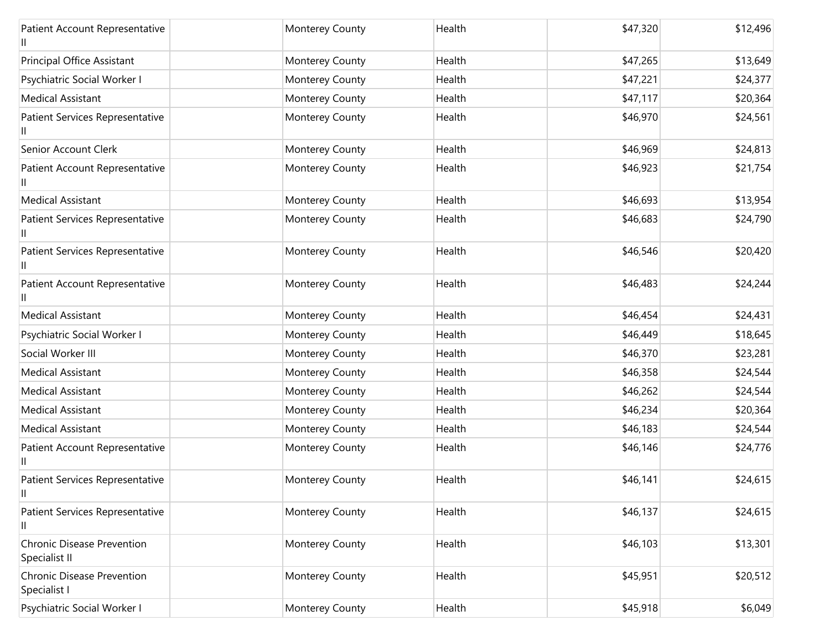| Patient Account Representative              | Monterey County | Health | \$47,320 | \$12,496 |
|---------------------------------------------|-----------------|--------|----------|----------|
| Principal Office Assistant                  | Monterey County | Health | \$47,265 | \$13,649 |
| Psychiatric Social Worker I                 | Monterey County | Health | \$47,221 | \$24,377 |
| <b>Medical Assistant</b>                    | Monterey County | Health | \$47,117 | \$20,364 |
| Patient Services Representative             | Monterey County | Health | \$46,970 | \$24,561 |
| Senior Account Clerk                        | Monterey County | Health | \$46,969 | \$24,813 |
| Patient Account Representative              | Monterey County | Health | \$46,923 | \$21,754 |
| <b>Medical Assistant</b>                    | Monterey County | Health | \$46,693 | \$13,954 |
| Patient Services Representative<br>Ш        | Monterey County | Health | \$46,683 | \$24,790 |
| Patient Services Representative             | Monterey County | Health | \$46,546 | \$20,420 |
| Patient Account Representative<br>Ш         | Monterey County | Health | \$46,483 | \$24,244 |
| <b>Medical Assistant</b>                    | Monterey County | Health | \$46,454 | \$24,431 |
| Psychiatric Social Worker I                 | Monterey County | Health | \$46,449 | \$18,645 |
| Social Worker III                           | Monterey County | Health | \$46,370 | \$23,281 |
| <b>Medical Assistant</b>                    | Monterey County | Health | \$46,358 | \$24,544 |
| <b>Medical Assistant</b>                    | Monterey County | Health | \$46,262 | \$24,544 |
| <b>Medical Assistant</b>                    | Monterey County | Health | \$46,234 | \$20,364 |
| <b>Medical Assistant</b>                    | Monterey County | Health | \$46,183 | \$24,544 |
| Patient Account Representative<br>Ш         | Monterey County | Health | \$46,146 | \$24,776 |
| Patient Services Representative<br>Ш        | Monterey County | Health | \$46,141 | \$24,615 |
| Patient Services Representative<br>Ш        | Monterey County | Health | \$46,137 | \$24,615 |
| Chronic Disease Prevention<br>Specialist II | Monterey County | Health | \$46,103 | \$13,301 |
| Chronic Disease Prevention<br>Specialist I  | Monterey County | Health | \$45,951 | \$20,512 |
| Psychiatric Social Worker I                 | Monterey County | Health | \$45,918 | \$6,049  |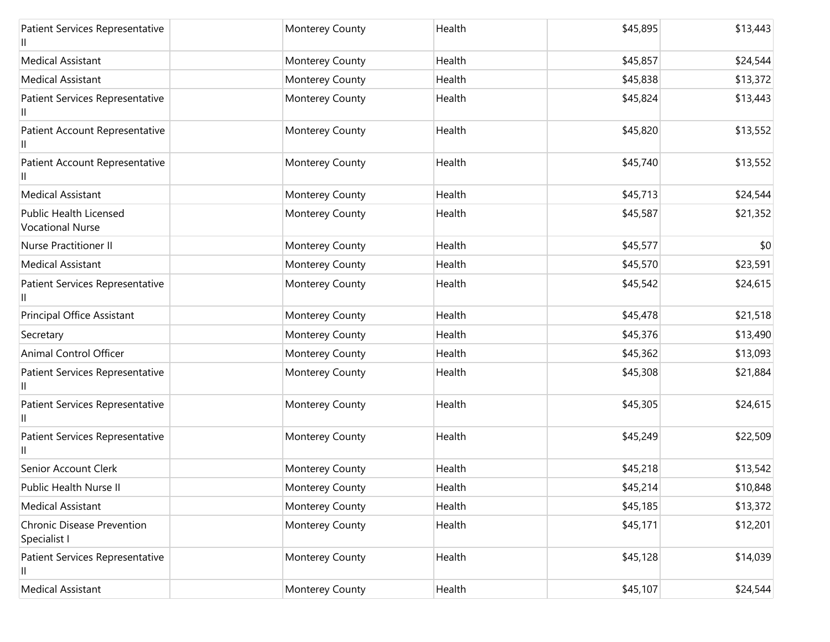| Patient Services Representative                          | Monterey County | Health | \$45,895 | \$13,443 |
|----------------------------------------------------------|-----------------|--------|----------|----------|
| <b>Medical Assistant</b>                                 | Monterey County | Health | \$45,857 | \$24,544 |
| <b>Medical Assistant</b>                                 | Monterey County | Health | \$45,838 | \$13,372 |
| Patient Services Representative<br>Ш                     | Monterey County | Health | \$45,824 | \$13,443 |
| Patient Account Representative                           | Monterey County | Health | \$45,820 | \$13,552 |
| Patient Account Representative                           | Monterey County | Health | \$45,740 | \$13,552 |
| <b>Medical Assistant</b>                                 | Monterey County | Health | \$45,713 | \$24,544 |
| <b>Public Health Licensed</b><br><b>Vocational Nurse</b> | Monterey County | Health | \$45,587 | \$21,352 |
| <b>Nurse Practitioner II</b>                             | Monterey County | Health | \$45,577 | \$0      |
| <b>Medical Assistant</b>                                 | Monterey County | Health | \$45,570 | \$23,591 |
| Patient Services Representative                          | Monterey County | Health | \$45,542 | \$24,615 |
| Principal Office Assistant                               | Monterey County | Health | \$45,478 | \$21,518 |
| Secretary                                                | Monterey County | Health | \$45,376 | \$13,490 |
| Animal Control Officer                                   | Monterey County | Health | \$45,362 | \$13,093 |
| Patient Services Representative<br>Ш                     | Monterey County | Health | \$45,308 | \$21,884 |
| Patient Services Representative                          | Monterey County | Health | \$45,305 | \$24,615 |
| Patient Services Representative<br>Ш                     | Monterey County | Health | \$45,249 | \$22,509 |
| Senior Account Clerk                                     | Monterey County | Health | \$45,218 | \$13,542 |
| Public Health Nurse II                                   | Monterey County | Health | \$45,214 | \$10,848 |
| <b>Medical Assistant</b>                                 | Monterey County | Health | \$45,185 | \$13,372 |
| Chronic Disease Prevention<br>Specialist I               | Monterey County | Health | \$45,171 | \$12,201 |
| Patient Services Representative<br>Ш                     | Monterey County | Health | \$45,128 | \$14,039 |
| <b>Medical Assistant</b>                                 | Monterey County | Health | \$45,107 | \$24,544 |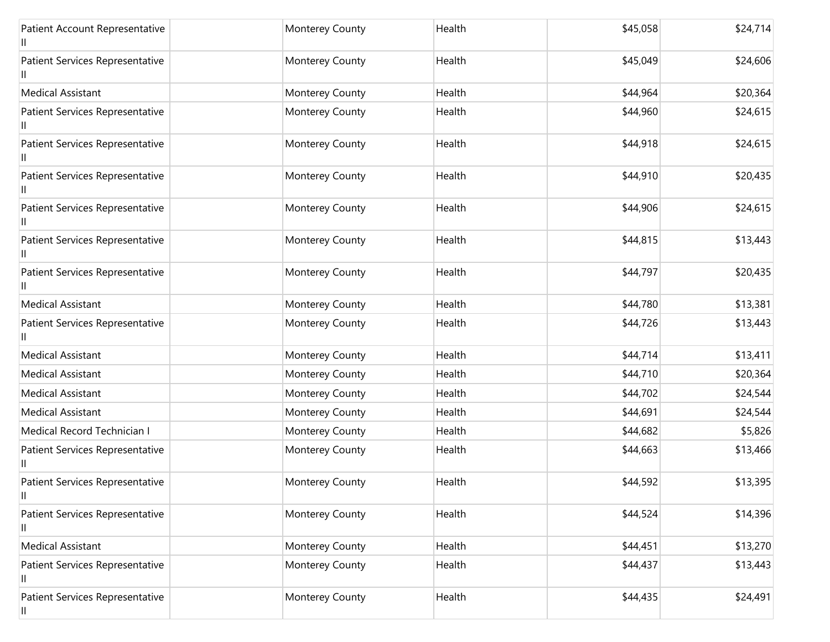| Patient Account Representative       | Monterey County | Health | \$45,058 | \$24,714 |
|--------------------------------------|-----------------|--------|----------|----------|
| Patient Services Representative<br>Ш | Monterey County | Health | \$45,049 | \$24,606 |
| <b>Medical Assistant</b>             | Monterey County | Health | \$44,964 | \$20,364 |
| Patient Services Representative      | Monterey County | Health | \$44,960 | \$24,615 |
| Patient Services Representative<br>Ш | Monterey County | Health | \$44,918 | \$24,615 |
| Patient Services Representative      | Monterey County | Health | \$44,910 | \$20,435 |
| Patient Services Representative<br>Ш | Monterey County | Health | \$44,906 | \$24,615 |
| Patient Services Representative      | Monterey County | Health | \$44,815 | \$13,443 |
| Patient Services Representative<br>Ш | Monterey County | Health | \$44,797 | \$20,435 |
| <b>Medical Assistant</b>             | Monterey County | Health | \$44,780 | \$13,381 |
| Patient Services Representative<br>Ш | Monterey County | Health | \$44,726 | \$13,443 |
| <b>Medical Assistant</b>             | Monterey County | Health | \$44,714 | \$13,411 |
| <b>Medical Assistant</b>             | Monterey County | Health | \$44,710 | \$20,364 |
| <b>Medical Assistant</b>             | Monterey County | Health | \$44,702 | \$24,544 |
| <b>Medical Assistant</b>             | Monterey County | Health | \$44,691 | \$24,544 |
| Medical Record Technician I          | Monterey County | Health | \$44,682 | \$5,826  |
| Patient Services Representative      | Monterey County | Health | \$44,663 | \$13,466 |
| Patient Services Representative<br>Ш | Monterey County | Health | \$44,592 | \$13,395 |
| Patient Services Representative<br>Ш | Monterey County | Health | \$44,524 | \$14,396 |
| <b>Medical Assistant</b>             | Monterey County | Health | \$44,451 | \$13,270 |
| Patient Services Representative<br>Ш | Monterey County | Health | \$44,437 | \$13,443 |
| Patient Services Representative<br>Ш | Monterey County | Health | \$44,435 | \$24,491 |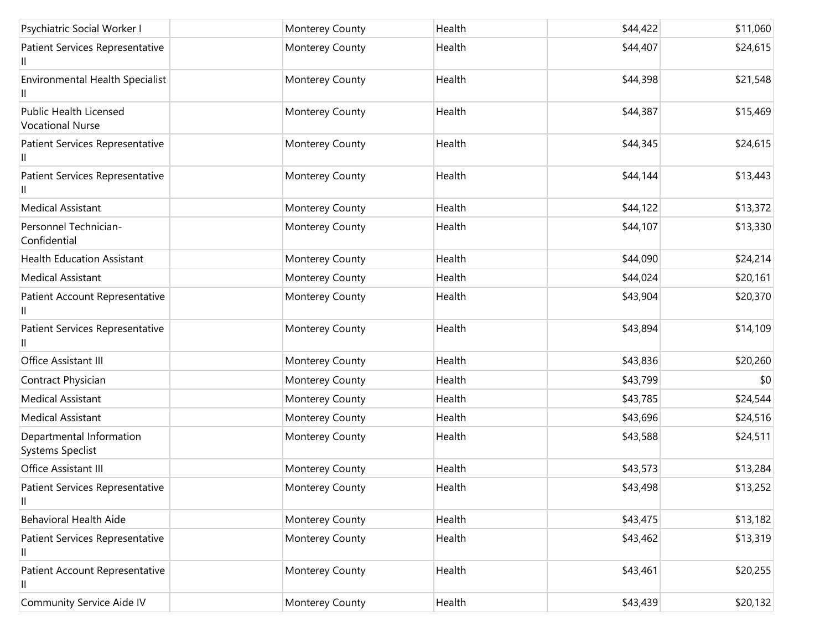| Psychiatric Social Worker I                              | Monterey County | Health | \$44,422 | \$11,060 |
|----------------------------------------------------------|-----------------|--------|----------|----------|
| Patient Services Representative<br>Ш                     | Monterey County | Health | \$44,407 | \$24,615 |
| <b>Environmental Health Specialist</b>                   | Monterey County | Health | \$44,398 | \$21,548 |
| <b>Public Health Licensed</b><br><b>Vocational Nurse</b> | Monterey County | Health | \$44,387 | \$15,469 |
| Patient Services Representative<br>Ш                     | Monterey County | Health | \$44,345 | \$24,615 |
| Patient Services Representative                          | Monterey County | Health | \$44,144 | \$13,443 |
| <b>Medical Assistant</b>                                 | Monterey County | Health | \$44,122 | \$13,372 |
| Personnel Technician-<br>Confidential                    | Monterey County | Health | \$44,107 | \$13,330 |
| <b>Health Education Assistant</b>                        | Monterey County | Health | \$44,090 | \$24,214 |
| <b>Medical Assistant</b>                                 | Monterey County | Health | \$44,024 | \$20,161 |
| Patient Account Representative<br>Ш                      | Monterey County | Health | \$43,904 | \$20,370 |
| Patient Services Representative                          | Monterey County | Health | \$43,894 | \$14,109 |
| Office Assistant III                                     | Monterey County | Health | \$43,836 | \$20,260 |
| Contract Physician                                       | Monterey County | Health | \$43,799 | \$0      |
| <b>Medical Assistant</b>                                 | Monterey County | Health | \$43,785 | \$24,544 |
| <b>Medical Assistant</b>                                 | Monterey County | Health | \$43,696 | \$24,516 |
| Departmental Information<br><b>Systems Speclist</b>      | Monterey County | Health | \$43,588 | \$24,511 |
| Office Assistant III                                     | Monterey County | Health | \$43,573 | \$13,284 |
| Patient Services Representative<br>Ш.                    | Monterey County | Health | \$43,498 | \$13,252 |
| <b>Behavioral Health Aide</b>                            | Monterey County | Health | \$43,475 | \$13,182 |
| Patient Services Representative<br>Ш                     | Monterey County | Health | \$43,462 | \$13,319 |
| Patient Account Representative<br>Ш                      | Monterey County | Health | \$43,461 | \$20,255 |
| Community Service Aide IV                                | Monterey County | Health | \$43,439 | \$20,132 |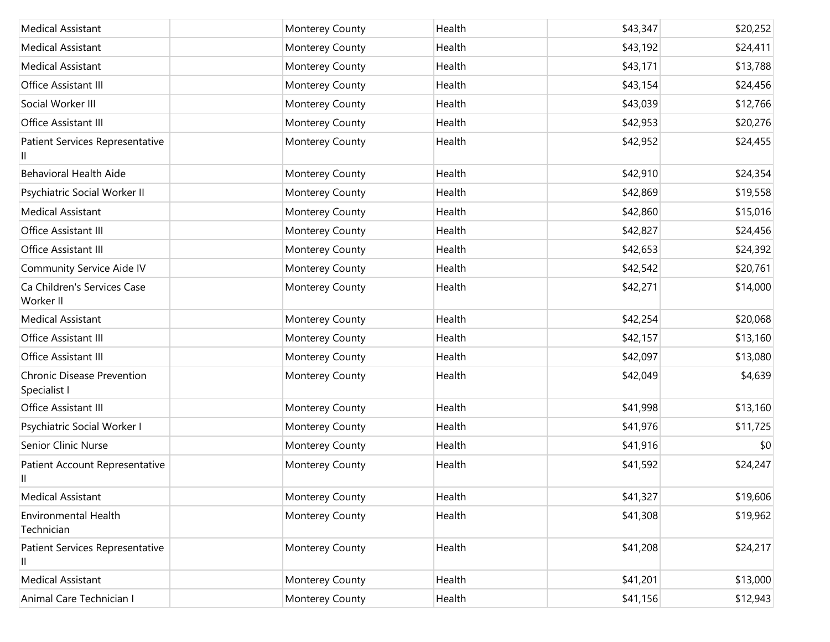| <b>Medical Assistant</b>                          | Monterey County | Health | \$43,347 | \$20,252 |
|---------------------------------------------------|-----------------|--------|----------|----------|
| <b>Medical Assistant</b>                          | Monterey County | Health | \$43,192 | \$24,411 |
| <b>Medical Assistant</b>                          | Monterey County | Health | \$43,171 | \$13,788 |
| Office Assistant III                              | Monterey County | Health | \$43,154 | \$24,456 |
| Social Worker III                                 | Monterey County | Health | \$43,039 | \$12,766 |
| Office Assistant III                              | Monterey County | Health | \$42,953 | \$20,276 |
| Patient Services Representative                   | Monterey County | Health | \$42,952 | \$24,455 |
| <b>Behavioral Health Aide</b>                     | Monterey County | Health | \$42,910 | \$24,354 |
| Psychiatric Social Worker II                      | Monterey County | Health | \$42,869 | \$19,558 |
| <b>Medical Assistant</b>                          | Monterey County | Health | \$42,860 | \$15,016 |
| Office Assistant III                              | Monterey County | Health | \$42,827 | \$24,456 |
| Office Assistant III                              | Monterey County | Health | \$42,653 | \$24,392 |
| <b>Community Service Aide IV</b>                  | Monterey County | Health | \$42,542 | \$20,761 |
| Ca Children's Services Case<br>Worker II          | Monterey County | Health | \$42,271 | \$14,000 |
| <b>Medical Assistant</b>                          | Monterey County | Health | \$42,254 | \$20,068 |
| Office Assistant III                              | Monterey County | Health | \$42,157 | \$13,160 |
| Office Assistant III                              | Monterey County | Health | \$42,097 | \$13,080 |
| <b>Chronic Disease Prevention</b><br>Specialist I | Monterey County | Health | \$42,049 | \$4,639  |
| Office Assistant III                              | Monterey County | Health | \$41,998 | \$13,160 |
| Psychiatric Social Worker I                       | Monterey County | Health | \$41,976 | \$11,725 |
| Senior Clinic Nurse                               | Monterey County | Health | \$41,916 | \$0      |
| Patient Account Representative<br>Ш               | Monterey County | Health | \$41,592 | \$24,247 |
| <b>Medical Assistant</b>                          | Monterey County | Health | \$41,327 | \$19,606 |
| <b>Environmental Health</b><br>Technician         | Monterey County | Health | \$41,308 | \$19,962 |
| Patient Services Representative<br>Ш              | Monterey County | Health | \$41,208 | \$24,217 |
| <b>Medical Assistant</b>                          | Monterey County | Health | \$41,201 | \$13,000 |
| Animal Care Technician I                          | Monterey County | Health | \$41,156 | \$12,943 |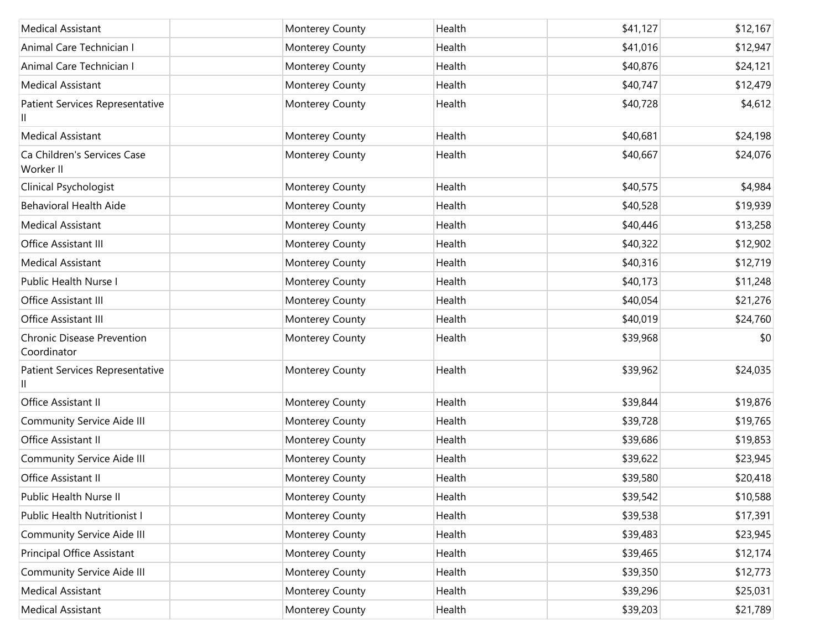| <b>Medical Assistant</b>                         | Monterey County | Health | \$41,127 | \$12,167 |
|--------------------------------------------------|-----------------|--------|----------|----------|
| Animal Care Technician I                         | Monterey County | Health | \$41,016 | \$12,947 |
| Animal Care Technician I                         | Monterey County | Health | \$40,876 | \$24,121 |
| <b>Medical Assistant</b>                         | Monterey County | Health | \$40,747 | \$12,479 |
| Patient Services Representative<br>$\mathsf{I}$  | Monterey County | Health | \$40,728 | \$4,612  |
| <b>Medical Assistant</b>                         | Monterey County | Health | \$40,681 | \$24,198 |
| Ca Children's Services Case<br>Worker II         | Monterey County | Health | \$40,667 | \$24,076 |
| Clinical Psychologist                            | Monterey County | Health | \$40,575 | \$4,984  |
| <b>Behavioral Health Aide</b>                    | Monterey County | Health | \$40,528 | \$19,939 |
| <b>Medical Assistant</b>                         | Monterey County | Health | \$40,446 | \$13,258 |
| Office Assistant III                             | Monterey County | Health | \$40,322 | \$12,902 |
| <b>Medical Assistant</b>                         | Monterey County | Health | \$40,316 | \$12,719 |
| Public Health Nurse I                            | Monterey County | Health | \$40,173 | \$11,248 |
| Office Assistant III                             | Monterey County | Health | \$40,054 | \$21,276 |
| Office Assistant III                             | Monterey County | Health | \$40,019 | \$24,760 |
| <b>Chronic Disease Prevention</b><br>Coordinator | Monterey County | Health | \$39,968 | \$0      |
| Patient Services Representative<br>Ш             | Monterey County | Health | \$39,962 | \$24,035 |
| Office Assistant II                              | Monterey County | Health | \$39,844 | \$19,876 |
| <b>Community Service Aide III</b>                | Monterey County | Health | \$39,728 | \$19,765 |
| Office Assistant II                              | Monterey County | Health | \$39,686 | \$19,853 |
| Community Service Aide III                       | Monterey County | Health | \$39,622 | \$23,945 |
| Office Assistant II                              | Monterey County | Health | \$39,580 | \$20,418 |
| Public Health Nurse II                           | Monterey County | Health | \$39,542 | \$10,588 |
| Public Health Nutritionist I                     | Monterey County | Health | \$39,538 | \$17,391 |
| Community Service Aide III                       | Monterey County | Health | \$39,483 | \$23,945 |
| Principal Office Assistant                       | Monterey County | Health | \$39,465 | \$12,174 |
| <b>Community Service Aide III</b>                | Monterey County | Health | \$39,350 | \$12,773 |
| <b>Medical Assistant</b>                         | Monterey County | Health | \$39,296 | \$25,031 |
| <b>Medical Assistant</b>                         | Monterey County | Health | \$39,203 | \$21,789 |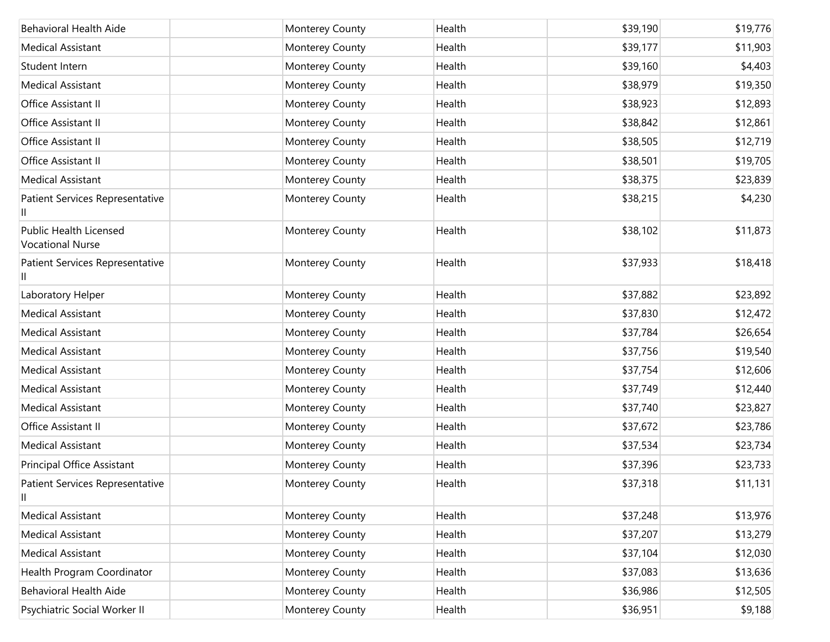| Behavioral Health Aide                            | Monterey County | Health | \$39,190 | \$19,776 |
|---------------------------------------------------|-----------------|--------|----------|----------|
| <b>Medical Assistant</b>                          | Monterey County | Health | \$39,177 | \$11,903 |
| Student Intern                                    | Monterey County | Health | \$39,160 | \$4,403  |
| <b>Medical Assistant</b>                          | Monterey County | Health | \$38,979 | \$19,350 |
| Office Assistant II                               | Monterey County | Health | \$38,923 | \$12,893 |
| Office Assistant II                               | Monterey County | Health | \$38,842 | \$12,861 |
| Office Assistant II                               | Monterey County | Health | \$38,505 | \$12,719 |
| Office Assistant II                               | Monterey County | Health | \$38,501 | \$19,705 |
| <b>Medical Assistant</b>                          | Monterey County | Health | \$38,375 | \$23,839 |
| Patient Services Representative<br>Ш              | Monterey County | Health | \$38,215 | \$4,230  |
| Public Health Licensed<br><b>Vocational Nurse</b> | Monterey County | Health | \$38,102 | \$11,873 |
| Patient Services Representative                   | Monterey County | Health | \$37,933 | \$18,418 |
| Laboratory Helper                                 | Monterey County | Health | \$37,882 | \$23,892 |
| <b>Medical Assistant</b>                          | Monterey County | Health | \$37,830 | \$12,472 |
| <b>Medical Assistant</b>                          | Monterey County | Health | \$37,784 | \$26,654 |
| <b>Medical Assistant</b>                          | Monterey County | Health | \$37,756 | \$19,540 |
| <b>Medical Assistant</b>                          | Monterey County | Health | \$37,754 | \$12,606 |
| <b>Medical Assistant</b>                          | Monterey County | Health | \$37,749 | \$12,440 |
| <b>Medical Assistant</b>                          | Monterey County | Health | \$37,740 | \$23,827 |
| Office Assistant II                               | Monterey County | Health | \$37,672 | \$23,786 |
| <b>Medical Assistant</b>                          | Monterey County | Health | \$37,534 | \$23,734 |
| Principal Office Assistant                        | Monterey County | Health | \$37,396 | \$23,733 |
| Patient Services Representative<br>$\mathsf{II}$  | Monterey County | Health | \$37,318 | \$11,131 |
| <b>Medical Assistant</b>                          | Monterey County | Health | \$37,248 | \$13,976 |
| <b>Medical Assistant</b>                          | Monterey County | Health | \$37,207 | \$13,279 |
| <b>Medical Assistant</b>                          | Monterey County | Health | \$37,104 | \$12,030 |
| Health Program Coordinator                        | Monterey County | Health | \$37,083 | \$13,636 |
| <b>Behavioral Health Aide</b>                     | Monterey County | Health | \$36,986 | \$12,505 |
| Psychiatric Social Worker II                      | Monterey County | Health | \$36,951 | \$9,188  |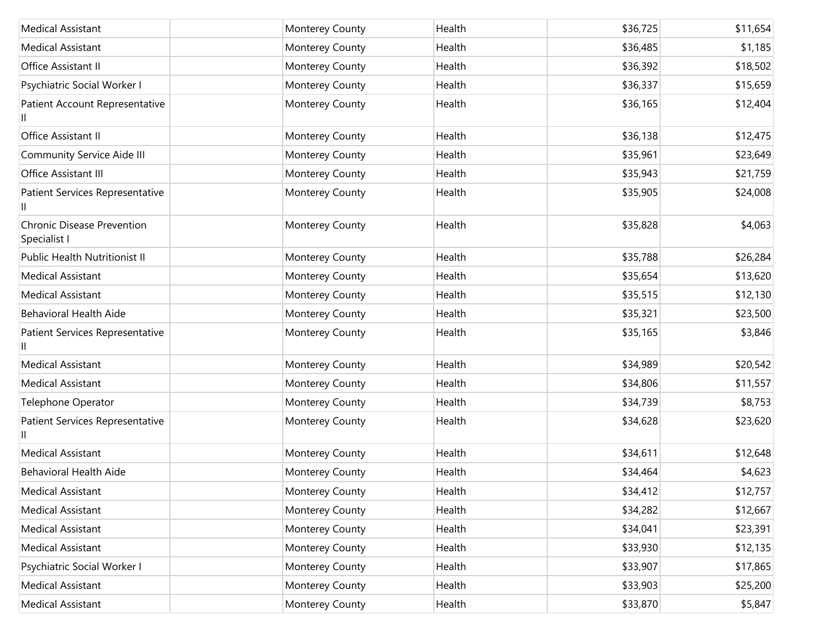| <b>Medical Assistant</b>                          | Monterey County | Health | \$36,725 | \$11,654 |
|---------------------------------------------------|-----------------|--------|----------|----------|
| <b>Medical Assistant</b>                          | Monterey County | Health | \$36,485 | \$1,185  |
| Office Assistant II                               | Monterey County | Health | \$36,392 | \$18,502 |
| Psychiatric Social Worker I                       | Monterey County | Health | \$36,337 | \$15,659 |
| Patient Account Representative                    | Monterey County | Health | \$36,165 | \$12,404 |
| Office Assistant II                               | Monterey County | Health | \$36,138 | \$12,475 |
| Community Service Aide III                        | Monterey County | Health | \$35,961 | \$23,649 |
| Office Assistant III                              | Monterey County | Health | \$35,943 | \$21,759 |
| Patient Services Representative                   | Monterey County | Health | \$35,905 | \$24,008 |
| <b>Chronic Disease Prevention</b><br>Specialist I | Monterey County | Health | \$35,828 | \$4,063  |
| <b>Public Health Nutritionist II</b>              | Monterey County | Health | \$35,788 | \$26,284 |
| <b>Medical Assistant</b>                          | Monterey County | Health | \$35,654 | \$13,620 |
| <b>Medical Assistant</b>                          | Monterey County | Health | \$35,515 | \$12,130 |
| <b>Behavioral Health Aide</b>                     | Monterey County | Health | \$35,321 | \$23,500 |
| Patient Services Representative                   | Monterey County | Health | \$35,165 | \$3,846  |
| <b>Medical Assistant</b>                          | Monterey County | Health | \$34,989 | \$20,542 |
| <b>Medical Assistant</b>                          | Monterey County | Health | \$34,806 | \$11,557 |
| Telephone Operator                                | Monterey County | Health | \$34,739 | \$8,753  |
| Patient Services Representative                   | Monterey County | Health | \$34,628 | \$23,620 |
| <b>Medical Assistant</b>                          | Monterey County | Health | \$34,611 | \$12,648 |
| <b>Behavioral Health Aide</b>                     | Monterey County | Health | \$34,464 | \$4,623  |
| Medical Assistant                                 | Monterey County | Health | \$34,412 | \$12,757 |
| <b>Medical Assistant</b>                          | Monterey County | Health | \$34,282 | \$12,667 |
| <b>Medical Assistant</b>                          | Monterey County | Health | \$34,041 | \$23,391 |
| <b>Medical Assistant</b>                          | Monterey County | Health | \$33,930 | \$12,135 |
| Psychiatric Social Worker I                       | Monterey County | Health | \$33,907 | \$17,865 |
| <b>Medical Assistant</b>                          | Monterey County | Health | \$33,903 | \$25,200 |
| <b>Medical Assistant</b>                          | Monterey County | Health | \$33,870 | \$5,847  |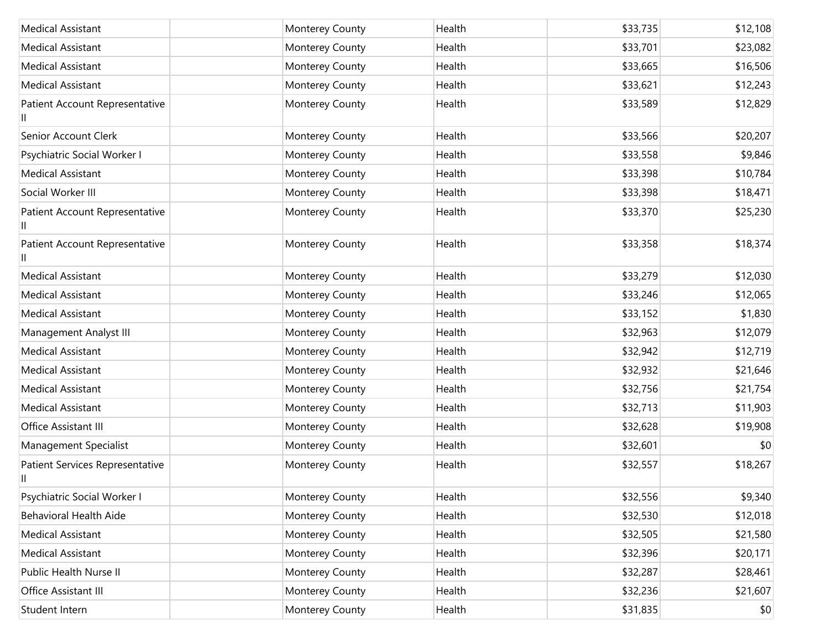| <b>Medical Assistant</b>             | Monterey County | Health | \$33,735 | \$12,108 |
|--------------------------------------|-----------------|--------|----------|----------|
| <b>Medical Assistant</b>             | Monterey County | Health | \$33,701 | \$23,082 |
| <b>Medical Assistant</b>             | Monterey County | Health | \$33,665 | \$16,506 |
| <b>Medical Assistant</b>             | Monterey County | Health | \$33,621 | \$12,243 |
| Patient Account Representative<br>Ш  | Monterey County | Health | \$33,589 | \$12,829 |
| Senior Account Clerk                 | Monterey County | Health | \$33,566 | \$20,207 |
| Psychiatric Social Worker I          | Monterey County | Health | \$33,558 | \$9,846  |
| <b>Medical Assistant</b>             | Monterey County | Health | \$33,398 | \$10,784 |
| Social Worker III                    | Monterey County | Health | \$33,398 | \$18,471 |
| Patient Account Representative       | Monterey County | Health | \$33,370 | \$25,230 |
| Patient Account Representative       | Monterey County | Health | \$33,358 | \$18,374 |
| <b>Medical Assistant</b>             | Monterey County | Health | \$33,279 | \$12,030 |
| <b>Medical Assistant</b>             | Monterey County | Health | \$33,246 | \$12,065 |
| <b>Medical Assistant</b>             | Monterey County | Health | \$33,152 | \$1,830  |
| Management Analyst III               | Monterey County | Health | \$32,963 | \$12,079 |
| <b>Medical Assistant</b>             | Monterey County | Health | \$32,942 | \$12,719 |
| <b>Medical Assistant</b>             | Monterey County | Health | \$32,932 | \$21,646 |
| <b>Medical Assistant</b>             | Monterey County | Health | \$32,756 | \$21,754 |
| <b>Medical Assistant</b>             | Monterey County | Health | \$32,713 | \$11,903 |
| Office Assistant III                 | Monterey County | Health | \$32,628 | \$19,908 |
| Management Specialist                | Monterey County | Health | \$32,601 | \$0      |
| Patient Services Representative<br>Ш | Monterey County | Health | \$32,557 | \$18,267 |
| Psychiatric Social Worker I          | Monterey County | Health | \$32,556 | \$9,340  |
| <b>Behavioral Health Aide</b>        | Monterey County | Health | \$32,530 | \$12,018 |
| <b>Medical Assistant</b>             | Monterey County | Health | \$32,505 | \$21,580 |
| <b>Medical Assistant</b>             | Monterey County | Health | \$32,396 | \$20,171 |
| Public Health Nurse II               | Monterey County | Health | \$32,287 | \$28,461 |
| Office Assistant III                 | Monterey County | Health | \$32,236 | \$21,607 |
| Student Intern                       | Monterey County | Health | \$31,835 | \$0      |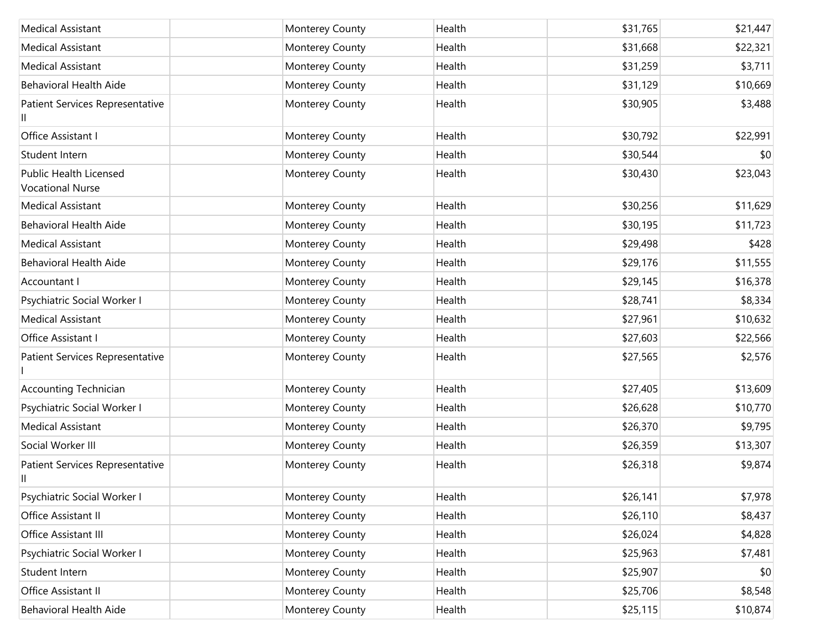| <b>Medical Assistant</b>                          | Monterey County | Health | \$31,765 | \$21,447 |
|---------------------------------------------------|-----------------|--------|----------|----------|
| <b>Medical Assistant</b>                          | Monterey County | Health | \$31,668 | \$22,321 |
| <b>Medical Assistant</b>                          | Monterey County | Health | \$31,259 | \$3,711  |
| <b>Behavioral Health Aide</b>                     | Monterey County | Health | \$31,129 | \$10,669 |
| Patient Services Representative                   | Monterey County | Health | \$30,905 | \$3,488  |
| Office Assistant I                                | Monterey County | Health | \$30,792 | \$22,991 |
| Student Intern                                    | Monterey County | Health | \$30,544 | \$0      |
| Public Health Licensed<br><b>Vocational Nurse</b> | Monterey County | Health | \$30,430 | \$23,043 |
| <b>Medical Assistant</b>                          | Monterey County | Health | \$30,256 | \$11,629 |
| <b>Behavioral Health Aide</b>                     | Monterey County | Health | \$30,195 | \$11,723 |
| <b>Medical Assistant</b>                          | Monterey County | Health | \$29,498 | \$428    |
| <b>Behavioral Health Aide</b>                     | Monterey County | Health | \$29,176 | \$11,555 |
| Accountant I                                      | Monterey County | Health | \$29,145 | \$16,378 |
| Psychiatric Social Worker I                       | Monterey County | Health | \$28,741 | \$8,334  |
| <b>Medical Assistant</b>                          | Monterey County | Health | \$27,961 | \$10,632 |
| Office Assistant I                                | Monterey County | Health | \$27,603 | \$22,566 |
| Patient Services Representative                   | Monterey County | Health | \$27,565 | \$2,576  |
| <b>Accounting Technician</b>                      | Monterey County | Health | \$27,405 | \$13,609 |
| Psychiatric Social Worker I                       | Monterey County | Health | \$26,628 | \$10,770 |
| <b>Medical Assistant</b>                          | Monterey County | Health | \$26,370 | \$9,795  |
| Social Worker III                                 | Monterey County | Health | \$26,359 | \$13,307 |
| Patient Services Representative<br>Ш              | Monterey County | Health | \$26,318 | \$9,874  |
| Psychiatric Social Worker I                       | Monterey County | Health | \$26,141 | \$7,978  |
| Office Assistant II                               | Monterey County | Health | \$26,110 | \$8,437  |
| Office Assistant III                              | Monterey County | Health | \$26,024 | \$4,828  |
| Psychiatric Social Worker I                       | Monterey County | Health | \$25,963 | \$7,481  |
| Student Intern                                    | Monterey County | Health | \$25,907 | \$0      |
| Office Assistant II                               | Monterey County | Health | \$25,706 | \$8,548  |
| Behavioral Health Aide                            | Monterey County | Health | \$25,115 | \$10,874 |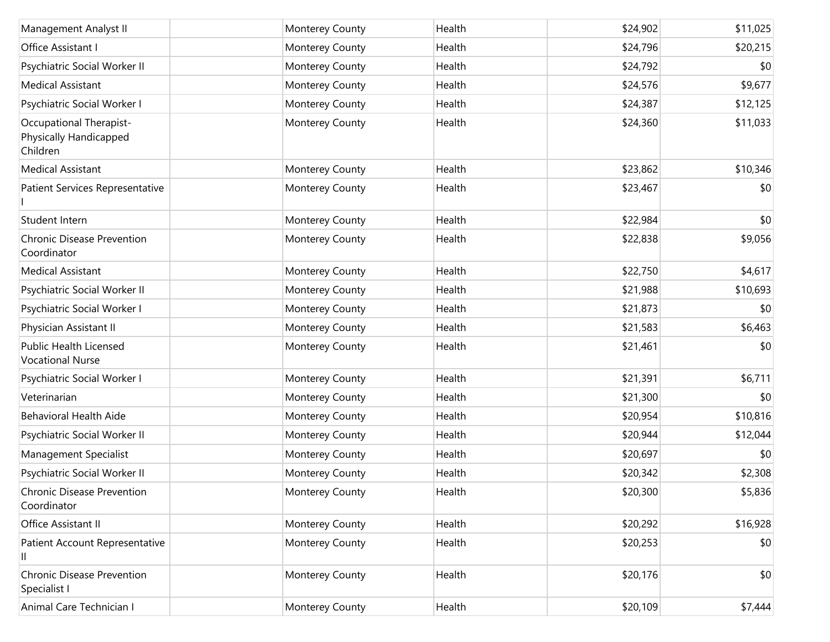| Management Analyst II                                         | Monterey County | Health | \$24,902 | \$11,025 |
|---------------------------------------------------------------|-----------------|--------|----------|----------|
| Office Assistant I                                            | Monterey County | Health | \$24,796 | \$20,215 |
| Psychiatric Social Worker II                                  | Monterey County | Health | \$24,792 | \$0      |
| <b>Medical Assistant</b>                                      | Monterey County | Health | \$24,576 | \$9,677  |
| Psychiatric Social Worker I                                   | Monterey County | Health | \$24,387 | \$12,125 |
| Occupational Therapist-<br>Physically Handicapped<br>Children | Monterey County | Health | \$24,360 | \$11,033 |
| <b>Medical Assistant</b>                                      | Monterey County | Health | \$23,862 | \$10,346 |
| Patient Services Representative                               | Monterey County | Health | \$23,467 | \$0      |
| Student Intern                                                | Monterey County | Health | \$22,984 | \$0      |
| <b>Chronic Disease Prevention</b><br>Coordinator              | Monterey County | Health | \$22,838 | \$9,056  |
| <b>Medical Assistant</b>                                      | Monterey County | Health | \$22,750 | \$4,617  |
| Psychiatric Social Worker II                                  | Monterey County | Health | \$21,988 | \$10,693 |
| Psychiatric Social Worker I                                   | Monterey County | Health | \$21,873 | \$0      |
| Physician Assistant II                                        | Monterey County | Health | \$21,583 | \$6,463  |
| <b>Public Health Licensed</b><br><b>Vocational Nurse</b>      | Monterey County | Health | \$21,461 | \$0      |
| Psychiatric Social Worker I                                   | Monterey County | Health | \$21,391 | \$6,711  |
| Veterinarian                                                  | Monterey County | Health | \$21,300 | \$0      |
| <b>Behavioral Health Aide</b>                                 | Monterey County | Health | \$20,954 | \$10,816 |
| Psychiatric Social Worker II                                  | Monterey County | Health | \$20,944 | \$12,044 |
| Management Specialist                                         | Monterey County | Health | \$20,697 | \$0      |
| Psychiatric Social Worker II                                  | Monterey County | Health | \$20,342 | \$2,308  |
| Chronic Disease Prevention<br>Coordinator                     | Monterey County | Health | \$20,300 | \$5,836  |
| Office Assistant II                                           | Monterey County | Health | \$20,292 | \$16,928 |
| Patient Account Representative<br>Ш                           | Monterey County | Health | \$20,253 | \$0      |
| <b>Chronic Disease Prevention</b><br>Specialist I             | Monterey County | Health | \$20,176 | \$0      |
| Animal Care Technician I                                      | Monterey County | Health | \$20,109 | \$7,444  |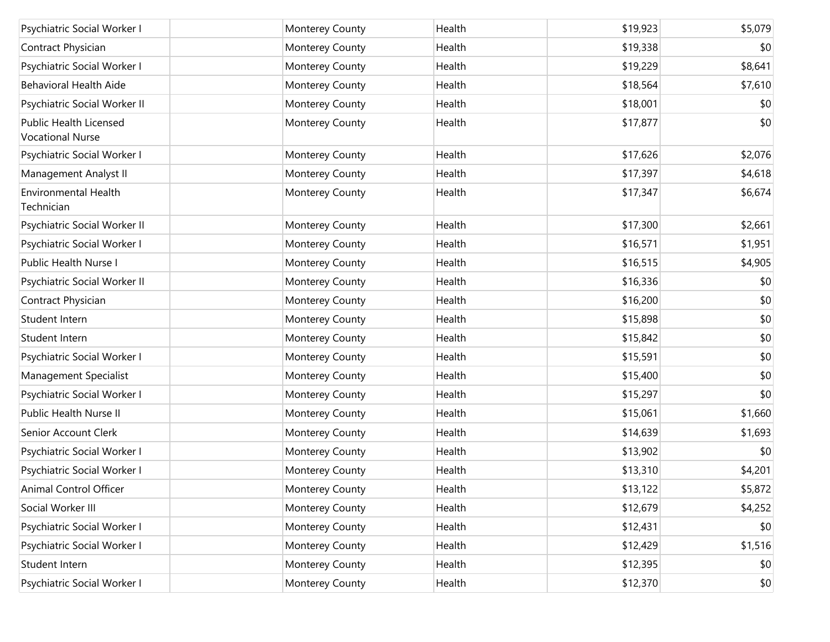| Psychiatric Social Worker I                       | Monterey County | Health | \$19,923 | \$5,079      |
|---------------------------------------------------|-----------------|--------|----------|--------------|
| Contract Physician                                | Monterey County | Health | \$19,338 | \$0          |
| Psychiatric Social Worker I                       | Monterey County | Health | \$19,229 | \$8,641      |
| <b>Behavioral Health Aide</b>                     | Monterey County | Health | \$18,564 | \$7,610      |
| Psychiatric Social Worker II                      | Monterey County | Health | \$18,001 | \$0          |
| Public Health Licensed<br><b>Vocational Nurse</b> | Monterey County | Health | \$17,877 | \$0          |
| Psychiatric Social Worker I                       | Monterey County | Health | \$17,626 | \$2,076      |
| Management Analyst II                             | Monterey County | Health | \$17,397 | \$4,618      |
| <b>Environmental Health</b><br>Technician         | Monterey County | Health | \$17,347 | \$6,674      |
| Psychiatric Social Worker II                      | Monterey County | Health | \$17,300 | \$2,661      |
| Psychiatric Social Worker I                       | Monterey County | Health | \$16,571 | \$1,951      |
| Public Health Nurse I                             | Monterey County | Health | \$16,515 | \$4,905      |
| Psychiatric Social Worker II                      | Monterey County | Health | \$16,336 | \$0          |
| Contract Physician                                | Monterey County | Health | \$16,200 | \$0          |
| Student Intern                                    | Monterey County | Health | \$15,898 | \$0          |
| Student Intern                                    | Monterey County | Health | \$15,842 | \$0          |
| Psychiatric Social Worker I                       | Monterey County | Health | \$15,591 | \$0          |
| Management Specialist                             | Monterey County | Health | \$15,400 | \$0          |
| Psychiatric Social Worker I                       | Monterey County | Health | \$15,297 | \$0          |
| Public Health Nurse II                            | Monterey County | Health | \$15,061 | \$1,660      |
| Senior Account Clerk                              | Monterey County | Health | \$14,639 | \$1,693      |
| Psychiatric Social Worker I                       | Monterey County | Health | \$13,902 | \$0          |
| Psychiatric Social Worker I                       | Monterey County | Health | \$13,310 | \$4,201      |
| Animal Control Officer                            | Monterey County | Health | \$13,122 | \$5,872      |
| Social Worker III                                 | Monterey County | Health | \$12,679 | \$4,252      |
| Psychiatric Social Worker I                       | Monterey County | Health | \$12,431 | \$0          |
| Psychiatric Social Worker I                       | Monterey County | Health | \$12,429 | \$1,516      |
| Student Intern                                    | Monterey County | Health | \$12,395 | \$0          |
| Psychiatric Social Worker I                       | Monterey County | Health | \$12,370 | $ 10\rangle$ |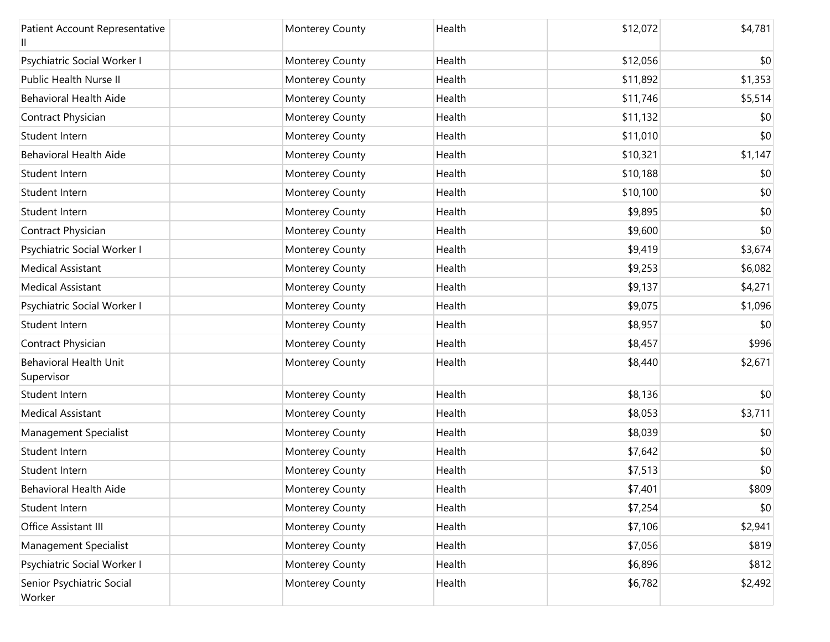| Patient Account Representative              | Monterey County | Health | \$12,072 | \$4,781 |
|---------------------------------------------|-----------------|--------|----------|---------|
| Psychiatric Social Worker I                 | Monterey County | Health | \$12,056 | \$0     |
| Public Health Nurse II                      | Monterey County | Health | \$11,892 | \$1,353 |
| <b>Behavioral Health Aide</b>               | Monterey County | Health | \$11,746 | \$5,514 |
| Contract Physician                          | Monterey County | Health | \$11,132 | \$0     |
| Student Intern                              | Monterey County | Health | \$11,010 | \$0     |
| <b>Behavioral Health Aide</b>               | Monterey County | Health | \$10,321 | \$1,147 |
| Student Intern                              | Monterey County | Health | \$10,188 | \$0     |
| Student Intern                              | Monterey County | Health | \$10,100 | \$0     |
| Student Intern                              | Monterey County | Health | \$9,895  | \$0     |
| Contract Physician                          | Monterey County | Health | \$9,600  | \$0     |
| Psychiatric Social Worker I                 | Monterey County | Health | \$9,419  | \$3,674 |
| <b>Medical Assistant</b>                    | Monterey County | Health | \$9,253  | \$6,082 |
| <b>Medical Assistant</b>                    | Monterey County | Health | \$9,137  | \$4,271 |
| Psychiatric Social Worker I                 | Monterey County | Health | \$9,075  | \$1,096 |
| Student Intern                              | Monterey County | Health | \$8,957  | \$0     |
| Contract Physician                          | Monterey County | Health | \$8,457  | \$996   |
| <b>Behavioral Health Unit</b><br>Supervisor | Monterey County | Health | \$8,440  | \$2,671 |
| Student Intern                              | Monterey County | Health | \$8,136  | \$0     |
| <b>Medical Assistant</b>                    | Monterey County | Health | \$8,053  | \$3,711 |
| Management Specialist                       | Monterey County | Health | \$8,039  | \$0     |
| Student Intern                              | Monterey County | Health | \$7,642  | \$0     |
| Student Intern                              | Monterey County | Health | \$7,513  | \$0     |
| Behavioral Health Aide                      | Monterey County | Health | \$7,401  | \$809   |
| Student Intern                              | Monterey County | Health | \$7,254  | \$0     |
| Office Assistant III                        | Monterey County | Health | \$7,106  | \$2,941 |
| Management Specialist                       | Monterey County | Health | \$7,056  | \$819   |
| Psychiatric Social Worker I                 | Monterey County | Health | \$6,896  | \$812   |
| Senior Psychiatric Social<br>Worker         | Monterey County | Health | \$6,782  | \$2,492 |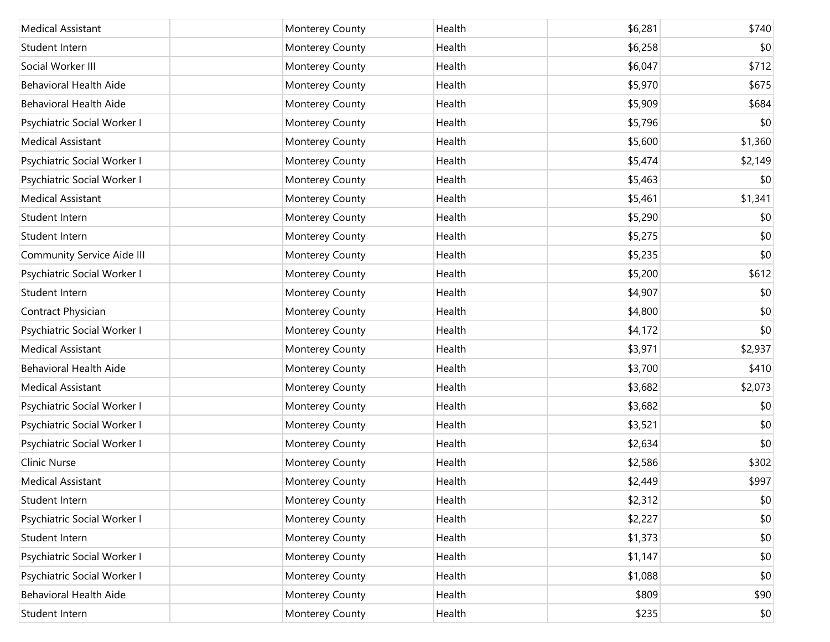| <b>Medical Assistant</b>      | Monterey County | Health | \$6,281 | \$740   |
|-------------------------------|-----------------|--------|---------|---------|
| Student Intern                | Monterey County | Health | \$6,258 | \$0     |
| Social Worker III             | Monterey County | Health | \$6,047 | \$712   |
| <b>Behavioral Health Aide</b> | Monterey County | Health | \$5,970 | \$675   |
| <b>Behavioral Health Aide</b> | Monterey County | Health | \$5,909 | \$684   |
| Psychiatric Social Worker I   | Monterey County | Health | \$5,796 | \$0     |
| <b>Medical Assistant</b>      | Monterey County | Health | \$5,600 | \$1,360 |
| Psychiatric Social Worker I   | Monterey County | Health | \$5,474 | \$2,149 |
| Psychiatric Social Worker I   | Monterey County | Health | \$5,463 | \$0     |
| <b>Medical Assistant</b>      | Monterey County | Health | \$5,461 | \$1,341 |
| Student Intern                | Monterey County | Health | \$5,290 | \$0     |
| Student Intern                | Monterey County | Health | \$5,275 | \$0     |
| Community Service Aide III    | Monterey County | Health | \$5,235 | \$0     |
| Psychiatric Social Worker I   | Monterey County | Health | \$5,200 | \$612   |
| Student Intern                | Monterey County | Health | \$4,907 | \$0     |
| Contract Physician            | Monterey County | Health | \$4,800 | \$0     |
| Psychiatric Social Worker I   | Monterey County | Health | \$4,172 | \$0     |
| <b>Medical Assistant</b>      | Monterey County | Health | \$3,971 | \$2,937 |
| Behavioral Health Aide        | Monterey County | Health | \$3,700 | \$410   |
| <b>Medical Assistant</b>      | Monterey County | Health | \$3,682 | \$2,073 |
| Psychiatric Social Worker I   | Monterey County | Health | \$3,682 | \$0     |
| Psychiatric Social Worker I   | Monterey County | Health | \$3,521 | \$0     |
| Psychiatric Social Worker I   | Monterey County | Health | \$2,634 | \$0     |
| Clinic Nurse                  | Monterey County | Health | \$2,586 | \$302   |
| <b>Medical Assistant</b>      | Monterey County | Health | \$2,449 | \$997   |
| Student Intern                | Monterey County | Health | \$2,312 | \$0     |
| Psychiatric Social Worker I   | Monterey County | Health | \$2,227 | \$0     |
| Student Intern                | Monterey County | Health | \$1,373 | \$0     |
| Psychiatric Social Worker I   | Monterey County | Health | \$1,147 | \$0     |
| Psychiatric Social Worker I   | Monterey County | Health | \$1,088 | \$0     |
| Behavioral Health Aide        | Monterey County | Health | \$809   | \$90    |
| Student Intern                | Monterey County | Health | \$235   | \$0     |